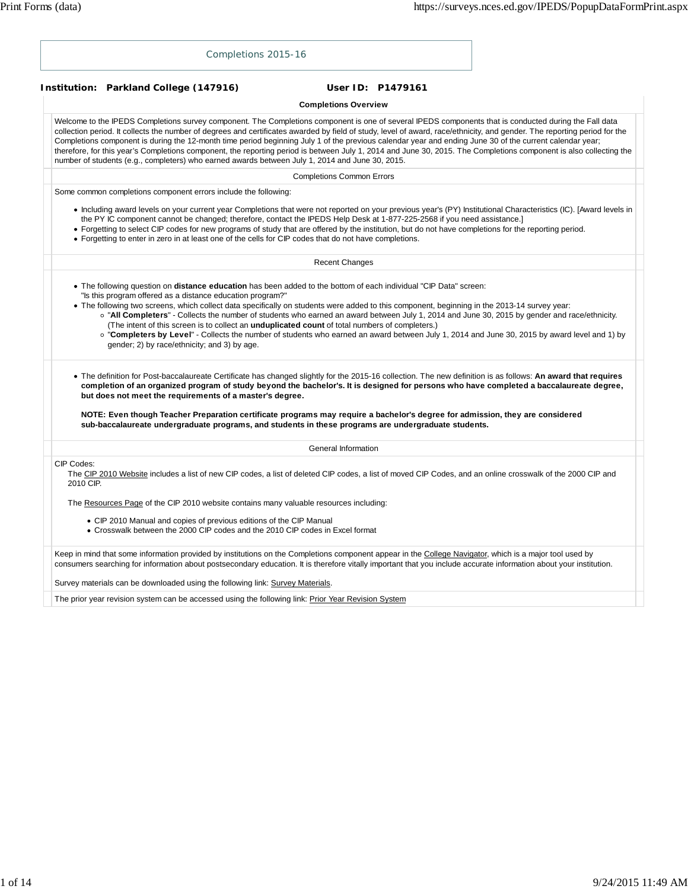| Completions 2015-16                                                                                                                                                                                                                                                                                                                                                                                                                                                                                                                                                                                                                                                                                                                                                      |
|--------------------------------------------------------------------------------------------------------------------------------------------------------------------------------------------------------------------------------------------------------------------------------------------------------------------------------------------------------------------------------------------------------------------------------------------------------------------------------------------------------------------------------------------------------------------------------------------------------------------------------------------------------------------------------------------------------------------------------------------------------------------------|
| Institution: Parkland College (147916)<br>User ID: P1479161                                                                                                                                                                                                                                                                                                                                                                                                                                                                                                                                                                                                                                                                                                              |
| <b>Completions Overview</b>                                                                                                                                                                                                                                                                                                                                                                                                                                                                                                                                                                                                                                                                                                                                              |
| Welcome to the IPEDS Completions survey component. The Completions component is one of several IPEDS components that is conducted during the Fall data<br>collection period. It collects the number of degrees and certificates awarded by field of study, level of award, race/ethnicity, and gender. The reporting period for the<br>Completions component is during the 12-month time period beginning July 1 of the previous calendar year and ending June 30 of the current calendar year;<br>therefore, for this year's Completions component, the reporting period is between July 1, 2014 and June 30, 2015. The Completions component is also collecting the<br>number of students (e.g., completers) who earned awards between July 1, 2014 and June 30, 2015. |
| <b>Completions Common Errors</b>                                                                                                                                                                                                                                                                                                                                                                                                                                                                                                                                                                                                                                                                                                                                         |
| Some common completions component errors include the following:                                                                                                                                                                                                                                                                                                                                                                                                                                                                                                                                                                                                                                                                                                          |
| • Including award levels on your current year Completions that were not reported on your previous year's (PY) Institutional Characteristics (IC). [Award levels in<br>the PY IC component cannot be changed; therefore, contact the IPEDS Help Desk at 1-877-225-2568 if you need assistance.]<br>• Forgetting to select CIP codes for new programs of study that are offered by the institution, but do not have completions for the reporting period.<br>• Forgetting to enter in zero in at least one of the cells for CIP codes that do not have completions.                                                                                                                                                                                                        |
| <b>Recent Changes</b>                                                                                                                                                                                                                                                                                                                                                                                                                                                                                                                                                                                                                                                                                                                                                    |
| "Is this program offered as a distance education program?"<br>• The following two screens, which collect data specifically on students were added to this component, beginning in the 2013-14 survey year:<br>o "All Completers" - Collects the number of students who earned an award between July 1, 2014 and June 30, 2015 by gender and race/ethnicity.<br>(The intent of this screen is to collect an <b>unduplicated count</b> of total numbers of completers.)<br>o "Completers by Level" - Collects the number of students who earned an award between July 1, 2014 and June 30, 2015 by award level and 1) by<br>gender; 2) by race/ethnicity; and 3) by age.                                                                                                   |
| • The definition for Post-baccalaureate Certificate has changed slightly for the 2015-16 collection. The new definition is as follows: An award that requires<br>completion of an organized program of study beyond the bachelor's. It is designed for persons who have completed a baccalaureate degree,<br>but does not meet the requirements of a master's degree.<br>NOTE: Even though Teacher Preparation certificate programs may require a bachelor's degree for admission, they are considered                                                                                                                                                                                                                                                                   |
| sub-baccalaureate undergraduate programs, and students in these programs are undergraduate students.                                                                                                                                                                                                                                                                                                                                                                                                                                                                                                                                                                                                                                                                     |
| General Information                                                                                                                                                                                                                                                                                                                                                                                                                                                                                                                                                                                                                                                                                                                                                      |
| CIP Codes:<br>The CIP 2010 Website includes a list of new CIP codes, a list of deleted CIP codes, a list of moved CIP Codes, and an online crosswalk of the 2000 CIP and<br>2010 CIP.                                                                                                                                                                                                                                                                                                                                                                                                                                                                                                                                                                                    |
| The Resources Page of the CIP 2010 website contains many valuable resources including:                                                                                                                                                                                                                                                                                                                                                                                                                                                                                                                                                                                                                                                                                   |
| • CIP 2010 Manual and copies of previous editions of the CIP Manual<br>• Crosswalk between the 2000 CIP codes and the 2010 CIP codes in Excel format                                                                                                                                                                                                                                                                                                                                                                                                                                                                                                                                                                                                                     |
| Keep in mind that some information provided by institutions on the Completions component appear in the College Navigator, which is a major tool used by<br>consumers searching for information about postsecondary education. It is therefore vitally important that you include accurate information about your institution.                                                                                                                                                                                                                                                                                                                                                                                                                                            |
| Survey materials can be downloaded using the following link: Survey Materials.                                                                                                                                                                                                                                                                                                                                                                                                                                                                                                                                                                                                                                                                                           |
| The prior year revision system can be accessed using the following link: Prior Year Revision System                                                                                                                                                                                                                                                                                                                                                                                                                                                                                                                                                                                                                                                                      |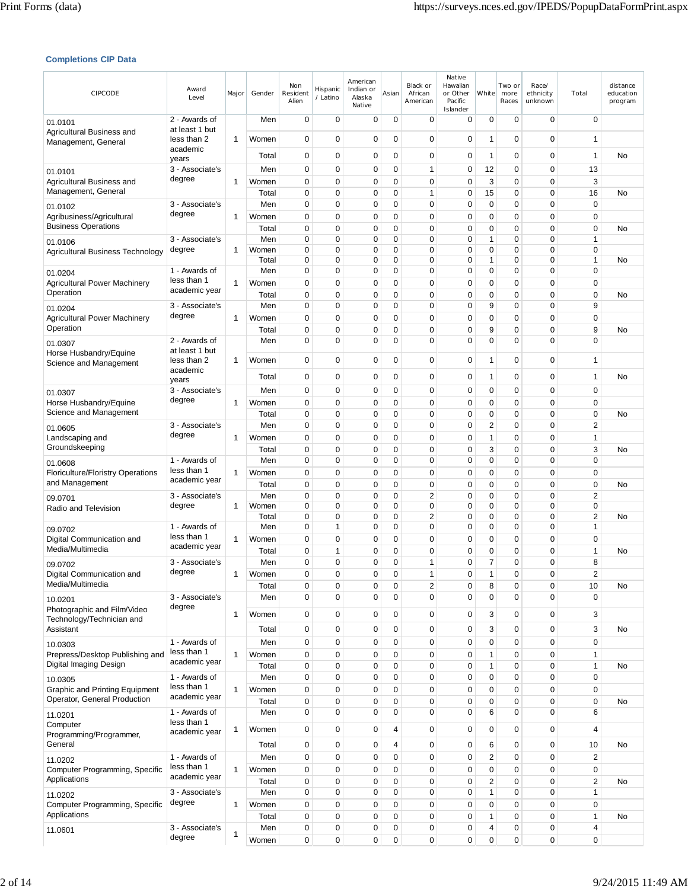### **Completions CIP Data**

| <b>CIPCODE</b>                                             | Award<br>Level                  | Major | Gender         | Non<br>Resident<br>Alien   | Hispanic<br>/ Latino       | American<br>Indian or<br>Alaska<br>Native | Asian         | Black or<br>African<br>American | Native<br>Hawaiian<br>or Other<br>Pacific<br>Islander | White             | Two or<br>more<br>Races | Race/<br>ethnicity<br>unknown | Total                          | distance<br>education<br>program |
|------------------------------------------------------------|---------------------------------|-------|----------------|----------------------------|----------------------------|-------------------------------------------|---------------|---------------------------------|-------------------------------------------------------|-------------------|-------------------------|-------------------------------|--------------------------------|----------------------------------|
| 01.0101                                                    | 2 - Awards of                   |       | Men            | 0                          | 0                          | 0                                         | 0             | 0                               | 0                                                     | 0                 | 0                       | $\mathbf 0$                   | $\mathbf 0$                    |                                  |
| Agricultural Business and<br>Management, General           | at least 1 but<br>less than 2   | 1     | Women          | $\mathbf 0$                | $\mathbf 0$                | 0                                         | $\mathbf 0$   | 0                               | $\mathbf 0$                                           | 1                 | 0                       | $\mathbf 0$                   | 1                              |                                  |
|                                                            | academic<br>years               |       | Total          | 0                          | 0                          | 0                                         | 0             | 0                               | $\mathbf 0$                                           | 1                 | 0                       | $\mathbf 0$                   | 1                              | No                               |
| 01.0101                                                    | 3 - Associate's                 |       | Men            | $\mathbf 0$                | $\mathbf 0$                | 0                                         | 0             | 1                               | 0                                                     | 12                | 0                       | $\mathbf 0$                   | 13                             |                                  |
| Agricultural Business and<br>Management, General           | degree                          | 1     | Women          | 0                          | $\mathbf 0$                | 0                                         | 0             | $\mathbf 0$                     | 0                                                     | 3                 | 0                       | 0                             | 3                              |                                  |
|                                                            | 3 - Associate's                 |       | Total<br>Men   | $\mathbf 0$<br>$\mathbf 0$ | $\mathbf 0$<br>$\mathbf 0$ | 0<br>0                                    | 0<br>0        | $\mathbf{1}$<br>0               | 0<br>0                                                | 15<br>0           | 0<br>0                  | $\mathbf 0$<br>$\mathbf 0$    | 16<br>$\mathbf 0$              | No                               |
| 01.0102<br>Agribusiness/Agricultural                       | degree                          | 1     | Women          | $\mathbf 0$                | $\mathbf 0$                | 0                                         | 0             | $\mathbf 0$                     | 0                                                     | 0                 | 0                       | $\mathbf 0$                   | $\mathbf 0$                    |                                  |
| <b>Business Operations</b>                                 |                                 |       | Total          | $\mathbf 0$                | $\mathbf 0$                | 0                                         | 0             | 0                               | 0                                                     | 0                 | 0                       | $\mathbf 0$                   | $\mathbf 0$                    | No                               |
| 01.0106                                                    | 3 - Associate's<br>degree       | 1     | Men<br>Women   | $\mathbf 0$<br>0           | $\mathbf 0$<br>$\mathbf 0$ | 0<br>0                                    | 0<br>0        | $\mathbf 0$<br>$\mathbf 0$      | 0<br>0                                                | $\mathbf{1}$<br>0 | 0<br>0                  | $\mathbf 0$<br>$\mathbf 0$    | $\mathbf{1}$<br>$\mathbf 0$    |                                  |
| Agricultural Business Technology                           |                                 |       | Total          | $\mathbf 0$                | 0                          | 0                                         | 0             | 0                               | 0                                                     | 1                 | 0                       | $\mathbf 0$                   | 1                              | No                               |
| 01.0204                                                    | 1 - Awards of                   |       | Men            | 0                          | 0                          | 0                                         | 0             | 0                               | 0                                                     | 0                 | 0                       | $\mathbf 0$                   | $\mathbf 0$                    |                                  |
| <b>Agricultural Power Machinery</b><br>Operation           | less than 1<br>academic year    | 1     | Women<br>Total | 0<br>$\mathbf 0$           | 0<br>$\mathbf 0$           | 0<br>0                                    | 0<br>0        | 0<br>0                          | 0<br>0                                                | 0<br>0            | 0<br>0                  | $\mathbf 0$<br>$\mathbf 0$    | 0<br>$\mathbf 0$               | No                               |
| 01.0204                                                    | 3 - Associate's                 |       | Men            | $\mathbf 0$                | 0                          | 0                                         | 0             | 0                               | 0                                                     | 9                 | 0                       | $\mathbf 0$                   | 9                              |                                  |
| <b>Agricultural Power Machinery</b>                        | degree                          | 1     | Women          | $\mathbf 0$                | $\mathbf 0$                | 0                                         | 0             | 0                               | 0                                                     | 0                 | 0                       | $\mathbf 0$                   | $\mathbf 0$                    |                                  |
| Operation                                                  |                                 |       | Total          | $\mathbf 0$                | $\mathbf 0$                | 0                                         | 0             | 0                               | 0                                                     | 9                 | 0                       | $\mathbf 0$                   | 9                              | No                               |
| 01.0307<br>Horse Husbandry/Equine                          | 2 - Awards of<br>at least 1 but |       | Men            | $\mathbf 0$                | $\mathbf 0$                | 0                                         | $\Omega$      | 0                               | 0                                                     | 0                 | $\overline{0}$          | $\mathbf 0$                   | $\Omega$                       |                                  |
| Science and Management                                     | less than 2                     | 1     | Women          | $\mathbf 0$                | $\mathbf 0$                | 0                                         | 0             | 0                               | 0                                                     | 1                 | 0                       | $\mathbf 0$                   | 1                              |                                  |
|                                                            | academic<br>years               |       | Total          | 0                          | $\mathbf 0$                | 0                                         | 0             | 0                               | 0                                                     | 1                 | 0                       | $\mathbf 0$                   | 1                              | No                               |
| 01.0307                                                    | 3 - Associate's                 |       | Men            | 0                          | 0                          | 0                                         | 0             | 0                               | 0                                                     | 0                 | 0                       | 0                             | 0                              |                                  |
| Horse Husbandry/Equine                                     | degree                          | 1     | Women          | $\mathbf 0$                | $\mathbf 0$                | 0                                         | 0             | 0                               | 0                                                     | 0                 | 0                       | $\mathbf 0$                   | $\mathbf 0$                    |                                  |
| Science and Management                                     | 3 - Associate's                 |       | Total<br>Men   | $\mathbf 0$<br>$\mathbf 0$ | $\mathbf 0$<br>0           | 0<br>0                                    | 0<br>0        | 0<br>0                          | 0<br>0                                                | 0<br>2            | 0<br>0                  | $\mathbf 0$<br>$\mathbf 0$    | $\mathbf 0$<br>2               | No                               |
| 01.0605<br>Landscaping and                                 | degree                          | 1     | Women          | 0                          | 0                          | 0                                         | 0             | 0                               | 0                                                     | 1                 | 0                       | $\mathbf 0$                   | 1                              |                                  |
| Groundskeeping                                             |                                 |       | Total          | $\mathbf 0$                | $\mathbf 0$                | 0                                         | 0             | 0                               | 0                                                     | 3                 | 0                       | $\mathbf 0$                   | 3                              | No                               |
| 01.0608                                                    | 1 - Awards of<br>less than 1    |       | Men            | $\mathbf 0$                | 0                          | 0                                         | 0             | 0                               | 0                                                     | 0                 | 0                       | $\mathbf 0$                   | $\mathbf 0$                    |                                  |
| <b>Floriculture/Floristry Operations</b><br>and Management | academic year                   | 1     | Women<br>Total | 0<br>0                     | 0<br>$\mathbf 0$           | 0<br>0                                    | 0<br>0        | 0<br>$\mathbf 0$                | 0<br>0                                                | 0<br>0            | 0<br>0                  | 0<br>$\mathbf 0$              | $\mathbf 0$<br>$\mathbf 0$     | No                               |
| 09.0701                                                    | 3 - Associate's                 |       | Men            | $\mathbf 0$                | $\mathbf 0$                | 0                                         | 0             | 2                               | 0                                                     | 0                 | 0                       | $\mathbf 0$                   | $\overline{\mathbf{c}}$        |                                  |
| Radio and Television                                       | degree                          | 1     | Women          | 0                          | $\mathbf 0$                | 0                                         | 0             | 0                               | 0                                                     | 0                 | 0                       | $\mathbf 0$                   | 0                              |                                  |
| 09.0702                                                    | 1 - Awards of                   |       | Total<br>Men   | $\mathbf 0$<br>0           | $\mathbf 0$<br>1           | 0<br>0                                    | 0<br>0        | $\overline{2}$<br>0             | 0<br>0                                                | 0<br>0            | 0<br>0                  | $\mathbf 0$<br>$\mathbf 0$    | $\overline{c}$<br>$\mathbf{1}$ | No                               |
| Digital Communication and                                  | less than 1                     | 1     | Women          | 0                          | $\mathbf 0$                | 0                                         | 0             | $\mathbf 0$                     | 0                                                     | 0                 | 0                       | $\mathbf 0$                   | 0                              |                                  |
| Media/Multimedia                                           | academic year                   |       | Total          | $\mathbf 0$                | 1                          | 0                                         | 0             | $\mathbf 0$                     | 0                                                     | 0                 | 0                       | $\mathbf 0$                   | 1                              | No                               |
| 09.0702                                                    | 3 - Associate's<br>degree       |       | Men<br>Women   | 0<br>$\Omega$              | $\mathbf 0$<br>$\Omega$    | 0<br>$\Omega$                             | 0<br>$\Omega$ | 1<br>1                          | 0<br>$\Omega$                                         | 7<br>1            | 0<br>$\Omega$           | $\mathbf 0$<br>$\Omega$       | 8<br>$\mathfrak{p}$            |                                  |
| Digital Communication and<br>Media/Multimedia              |                                 | 1     | Total          | $\mathbf 0$                | 0                          | 0                                         | 0             | 2                               | 0                                                     | 8                 | 0                       | $\mathbf 0$                   | 10                             | No                               |
| 10.0201                                                    | 3 - Associate's                 |       | Men            | $\mathbf 0$                | 0                          | 0                                         | 0             | 0                               | 0                                                     | 0                 | 0                       | $\mathbf 0$                   | $\mathbf 0$                    |                                  |
| Photographic and Film/Video                                | degree                          | 1     | Women          | $\mathbf 0$                | 0                          | 0                                         | 0             | 0                               | 0                                                     | 3                 | 0                       | $\mathbf 0$                   | 3                              |                                  |
| Technology/Technician and<br>Assistant                     |                                 |       | Total          | $\mathbf 0$                | 0                          | 0                                         | 0             | 0                               | $\mathbf 0$                                           | 3                 | 0                       | $\mathbf 0$                   | 3                              | No                               |
| 10.0303                                                    | 1 - Awards of                   |       | Men            | $\mathbf 0$                | $\mathbf 0$                | 0                                         | 0             | 0                               | 0                                                     | 0                 | 0                       | $\mathbf 0$                   | $\mathbf 0$                    |                                  |
| Prepress/Desktop Publishing and                            | less than 1<br>academic year    | 1     | Women          | 0                          | 0                          | 0                                         | 0             | 0                               | 0                                                     | 1                 | 0                       | $\mathbf 0$                   | 1                              |                                  |
| Digital Imaging Design                                     | 1 - Awards of                   |       | Total<br>Men   | $\mathbf 0$<br>$\mathbf 0$ | 0<br>0                     | 0<br>0                                    | 0<br>0        | 0<br>$\mathbf 0$                | 0<br>0                                                | 1<br>0            | 0<br>0                  | $\mathbf 0$<br>$\mathbf 0$    | $\mathbf{1}$<br>$\mathbf 0$    | No                               |
| 10.0305<br><b>Graphic and Printing Equipment</b>           | less than 1                     | 1     | Women          | $\mathbf 0$                | 0                          | 0                                         | 0             | 0                               | 0                                                     | 0                 | 0                       | $\mathbf 0$                   | $\mathbf 0$                    |                                  |
| Operator, General Production                               | academic year                   |       | Total          | 0                          | 0                          | 0                                         | 0             | 0                               | 0                                                     | 0                 | 0                       | $\mathbf 0$                   | $\mathbf 0$                    | No                               |
| 11.0201                                                    | 1 - Awards of                   |       | Men            | $\mathbf 0$                | $\mathbf 0$                | 0                                         | 0             | 0                               | 0                                                     | 6                 | 0                       | $\mathbf 0$                   | 6                              |                                  |
| Computer<br>Programming/Programmer,                        | less than 1<br>academic year    | 1     | Women          | $\pmb{0}$                  | $\pmb{0}$                  | 0                                         | 4             | 0                               | 0                                                     | 0                 | 0                       | 0                             | 4                              |                                  |
| General                                                    |                                 |       | Total          | $\pmb{0}$                  | 0                          | 0                                         | 4             | 0                               | 0                                                     | 6                 | 0                       | $\mathbf 0$                   | 10                             | No                               |
| 11.0202                                                    | 1 - Awards of                   |       | Men            | $\mathbf 0$                | 0                          | 0                                         | 0             | 0                               | 0                                                     | 2                 | 0                       | $\mathbf 0$                   | $\overline{2}$                 |                                  |
| Computer Programming, Specific<br>Applications             | less than 1<br>academic year    | 1     | Women          | $\mathbf 0$                | $\mathbf 0$                | 0                                         | 0             | 0                               | 0                                                     | 0                 | 0                       | $\mathbf 0$                   | $\mathbf 0$                    |                                  |
| 11.0202                                                    | 3 - Associate's                 |       | Total<br>Men   | $\mathbf 0$<br>$\pmb{0}$   | $\mathbf 0$<br>0           | 0<br>0                                    | 0<br>0        | 0<br>0                          | 0<br>0                                                | 2<br>1            | 0<br>0                  | $\mathbf 0$<br>$\mathbf 0$    | 2<br>1                         | No                               |
| Computer Programming, Specific                             | degree                          | 1     | Women          | $\mathbf 0$                | 0                          | 0                                         | 0             | 0                               | 0                                                     | 0                 | 0                       | $\mathbf 0$                   | 0                              |                                  |
| Applications                                               |                                 |       | Total          | $\mathbf 0$                | 0                          | 0                                         | 0             | 0                               | 0                                                     | 1                 | 0                       | $\mathbf 0$                   | 1                              | No                               |
| 11.0601                                                    | 3 - Associate's<br>degree       | 1     | Men<br>Women   | $\pmb{0}$<br>0             | 0<br>0                     | 0<br>0                                    | 0<br>0        | 0<br>0                          | 0<br>0                                                | 4<br>0            | 0<br>0                  | $\pmb{0}$<br>$\pmb{0}$        | 4<br>0                         |                                  |
|                                                            |                                 |       |                |                            |                            |                                           |               |                                 |                                                       |                   |                         |                               |                                |                                  |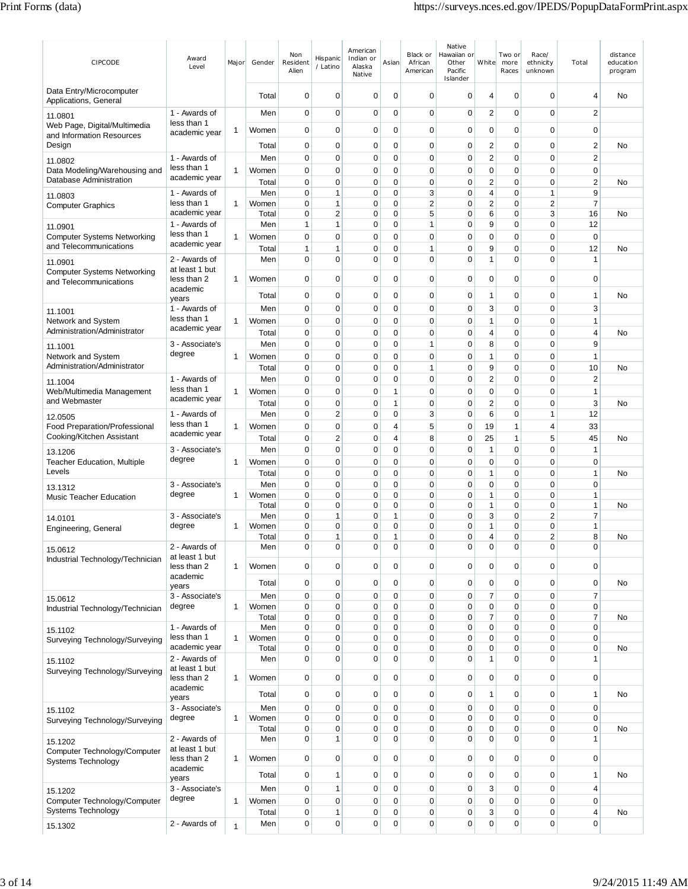| <b>CIPCODE</b>                                               | Award<br>Level                  | Major        | Gender         | Non<br>Resident<br>Alien   | Hispanic<br>/ Latino | American<br>Indian or<br>Alaska<br>Native | Asian             | Black or<br>African<br>American | Native<br>Hawaiian or<br>Other<br>Pacific<br>Islander | White                       | Two or<br>more<br>Races | Race/<br>ethnicity<br>unknown | Total                          | distance<br>education<br>program |
|--------------------------------------------------------------|---------------------------------|--------------|----------------|----------------------------|----------------------|-------------------------------------------|-------------------|---------------------------------|-------------------------------------------------------|-----------------------------|-------------------------|-------------------------------|--------------------------------|----------------------------------|
| Data Entry/Microcomputer<br>Applications, General            |                                 |              | Total          | 0                          | 0                    | 0                                         | 0                 | 0                               | 0                                                     | $\overline{4}$              | $\mathbf 0$             | $\mathbf 0$                   | 4                              | No                               |
| 11.0801                                                      | 1 - Awards of                   |              | Men            | 0                          | $\mathbf 0$          | 0                                         | 0                 | 0                               | $\mathbf 0$                                           | 2                           | 0                       | 0                             | 2                              |                                  |
| Web Page, Digital/Multimedia<br>and Information Resources    | less than 1<br>academic year    | 1            | Women          | 0                          | $\mathbf 0$          | 0                                         | 0                 | 0                               | 0                                                     | $\mathbf 0$                 | 0                       | 0                             | $\mathbf 0$                    |                                  |
| Design                                                       |                                 |              | Total          | 0                          | $\mathbf 0$          | 0                                         | 0                 | 0                               | 0                                                     | 2                           | 0                       | 0                             | 2                              | No                               |
| 11.0802                                                      | 1 - Awards of                   |              | Men            | 0                          | $\mathbf 0$          | 0                                         | 0                 | 0                               | 0                                                     | 2                           | 0                       | 0                             | $\overline{2}$                 |                                  |
| Data Modeling/Warehousing and<br>Database Administration     | less than 1<br>academic year    | 1            | Women          | $\mathbf 0$                | $\mathbf 0$          | $\mathbf 0$                               | 0                 | $\mathbf 0$                     | 0                                                     | 0                           | 0                       | 0                             | $\mathbf 0$                    |                                  |
|                                                              | 1 - Awards of                   |              | Total<br>Men   | 0<br>$\overline{0}$        | 0<br>$\mathbf{1}$    | 0<br>0                                    | $\mathbf 0$<br>0  | 0<br>3                          | 0<br>$\mathbf 0$                                      | 2<br>4                      | 0<br>0                  | 0<br>1                        | $\overline{c}$<br>9            | No                               |
| 11.0803<br><b>Computer Graphics</b>                          | less than 1                     | $\mathbf{1}$ | Women          | 0                          | $\mathbf{1}$         | $\mathbf 0$                               | 0                 | $\overline{2}$                  | 0                                                     | $\overline{2}$              | 0                       | $\overline{2}$                | $\overline{7}$                 |                                  |
|                                                              | academic year                   |              | Total          | 0                          | $\overline{2}$       | $\mathbf 0$                               | 0                 | 5                               | $\mathbf 0$                                           | 6                           | $\mathbf 0$             | 3                             | 16                             | No                               |
| 11.0901                                                      | 1 - Awards of<br>less than 1    | $\mathbf{1}$ | Men<br>Women   | $\mathbf{1}$<br>0          | 1<br>$\mathbf 0$     | 0<br>0                                    | 0<br>0            | 1<br>0                          | 0<br>0                                                | 9<br>$\mathbf 0$            | 0<br>0                  | 0<br>0                        | 12<br>$\mathbf 0$              |                                  |
| <b>Computer Systems Networking</b><br>and Telecommunications | academic year                   |              | Total          | 1                          | 1                    | 0                                         | 0                 | 1                               | 0                                                     | 9                           | 0                       | 0                             | 12                             | No                               |
| 11.0901                                                      | 2 - Awards of                   |              | Men            | $\overline{0}$             | $\mathbf 0$          | $\mathbf 0$                               | 0                 | $\mathbf 0$                     | $\mathbf 0$                                           | $\mathbf{1}$                | $\mathbf 0$             | 0                             | $\mathbf{1}$                   |                                  |
| <b>Computer Systems Networking</b><br>and Telecommunications | at least 1 but<br>less than 2   | $\mathbf{1}$ | Women          | $\mathbf 0$                | $\mathbf 0$          | 0                                         | 0                 | 0                               | 0                                                     | $\mathbf 0$                 | 0                       | 0                             | 0                              |                                  |
|                                                              | academic<br>years               |              | Total          | 0                          | $\mathbf 0$          | 0                                         | 0                 | 0                               | 0                                                     | 1                           | 0                       | 0                             | $\mathbf{1}$                   | No                               |
| 11.1001                                                      | 1 - Awards of                   |              | Men            | 0                          | $\mathbf 0$          | 0                                         | 0                 | 0                               | 0                                                     | 3                           | 0                       | 0                             | 3                              |                                  |
| Network and System<br>Administration/Administrator           | less than 1<br>academic year    | $\mathbf{1}$ | Women          | $\mathbf 0$                | $\mathbf 0$          | 0                                         | 0                 | 0                               | 0                                                     | 1                           | 0                       | 0                             | $\mathbf{1}$                   |                                  |
|                                                              | 3 - Associate's                 |              | Total<br>Men   | $\mathbf 0$<br>0           | 0<br>0               | 0<br>0                                    | 0<br>$\mathbf 0$  | 0<br>1                          | 0<br>0                                                | 4<br>8                      | 0<br>0                  | 0<br>0                        | 4<br>9                         | No                               |
| 11.1001<br>Network and System                                | degree                          | $\mathbf{1}$ | Women          | $\mathbf 0$                | $\mathbf 0$          | 0                                         | 0                 | 0                               | 0                                                     | $\mathbf{1}$                | 0                       | 0                             | $\mathbf{1}$                   |                                  |
| Administration/Administrator                                 |                                 |              | Total          | $\mathbf 0$                | $\mathbf 0$          | 0                                         | $\mathbf 0$       | 1                               | 0                                                     | 9                           | 0                       | 0                             | 10                             | No                               |
| 11.1004                                                      | 1 - Awards of                   |              | Men            | $\mathbf 0$                | $\mathbf 0$          | 0                                         | $\mathbf 0$       | 0                               | 0                                                     | 2                           | 0                       | 0                             | $\overline{2}$                 |                                  |
| Web/Multimedia Management<br>and Webmaster                   | less than 1<br>academic year    | $\mathbf{1}$ | Women          | $\mathbf 0$                | $\mathbf 0$          | 0                                         | 1                 | 0                               | 0                                                     | $\mathbf 0$                 | 0                       | 0                             | $\mathbf{1}$                   |                                  |
|                                                              | 1 - Awards of                   |              | Total<br>Men   | 0<br>0                     | 0<br>$\overline{2}$  | 0<br>$\mathbf 0$                          | 1<br>0            | 0<br>3                          | 0<br>$\mathbf 0$                                      | $\overline{c}$<br>6         | 0<br>$\mathbf 0$        | 0<br>1                        | 3<br>12                        | No                               |
| 12.0505<br>Food Preparation/Professional                     | less than 1                     | 1            | Women          | $\overline{0}$             | 0                    | $\mathbf 0$                               | 4                 | 5                               | $\mathbf 0$                                           | 19                          | 1                       | 4                             | 33                             |                                  |
| Cooking/Kitchen Assistant                                    | academic year                   |              | Total          | 0                          | $\overline{c}$       | 0                                         | 4                 | 8                               | 0                                                     | 25                          | 1                       | 5                             | 45                             | No                               |
| 13.1206                                                      | 3 - Associate's                 |              | Men            | $\overline{0}$             | $\mathbf 0$          | $\mathbf 0$                               | 0                 | $\mathbf 0$                     | $\mathbf 0$                                           | $\mathbf{1}$                | $\mathbf 0$             | 0                             | $\mathbf{1}$                   |                                  |
| <b>Teacher Education, Multiple</b>                           | degree                          | $\mathbf{1}$ | Women          | $\overline{0}$             | $\pmb{0}$            | 0                                         | 0                 | $\mathbf 0$                     | 0                                                     | $\mathbf 0$                 | 0                       | 0                             | $\mathbf 0$                    |                                  |
| Levels                                                       | 3 - Associate's                 |              | Total<br>Men   | $\mathbf 0$<br>0           | $\mathbf 0$<br>0     | 0<br>0                                    | 0<br>0            | 0<br>0                          | 0<br>0                                                | 1<br>$\mathbf 0$            | 0<br>0                  | 0<br>0                        | $\mathbf{1}$<br>$\mathbf 0$    | No                               |
| 13.1312<br><b>Music Teacher Education</b>                    | degree                          | $\mathbf{1}$ | Women          | $\mathbf 0$                | $\mathbf 0$          | $\mathbf 0$                               | 0                 | $\mathbf 0$                     | $\mathbf 0$                                           | 1                           | 0                       | 0                             | $\mathbf{1}$                   |                                  |
|                                                              |                                 |              | Total          | 0                          | 0                    | 0                                         | $\mathbf 0$       | 0                               | $\mathbf 0$                                           | $\mathbf{1}$                | 0                       | 0                             | $\mathbf{1}$                   | No                               |
| 14.0101                                                      | 3 - Associate's<br>degree       | $\mathbf{1}$ | Men<br>Women   | $\mathbf 0$<br>$\mathbf 0$ | $\mathbf{1}$<br>0    | 0<br>0                                    | $\mathbf{1}$<br>0 | $\mathbf 0$<br>0                | $\mathbf 0$<br>0                                      | 3<br>1                      | 0<br>0                  | $\overline{2}$<br>0           | $\overline{7}$<br>$\mathbf{1}$ |                                  |
| Engineering, General                                         |                                 |              | Total          | 0                          | $\mathbf{1}$         | $\mathbf 0$                               | $\mathbf{1}$      | 0                               | 0                                                     | 4                           | 0                       | $\overline{2}$                | 8                              | No                               |
| 15.0612<br>Industrial Technology/Technician                  | 2 - Awards of<br>at least 1 but |              | Men            | 0                          | 0                    | 0                                         | 0                 | 0                               | 0                                                     | 0                           | 0                       | 0                             | 0                              |                                  |
|                                                              | less than 2<br>academic         | $\mathbf{1}$ | Women          | 0                          | $\pmb{0}$            | 0                                         | 0                 | $\mathbf 0$                     | 0                                                     | $\pmb{0}$                   | $\mathbf 0$             | $\mathbf 0$                   | 0                              |                                  |
|                                                              | years                           |              | Total          | 0                          | $\pmb{0}$            | 0                                         | 0                 | $\mathbf 0$                     | $\mathbf 0$                                           | $\pmb{0}$                   | 0                       | $\mathbf 0$                   | $\pmb{0}$                      | No                               |
| 15.0612                                                      | 3 - Associate's<br>degree       | $\mathbf{1}$ | Men<br>Women   | 0<br>$\mathbf 0$           | $\mathbf 0$<br>0     | 0<br>0                                    | 0<br>0            | 0<br>0                          | 0<br>0                                                | $\overline{7}$<br>$\pmb{0}$ | $\mathbf 0$<br>0        | $\mathbf 0$<br>$\mathbf 0$    | $\overline{7}$<br>$\pmb{0}$    |                                  |
| Industrial Technology/Technician                             |                                 |              | Total          | $\mathbf 0$                | $\pmb{0}$            | $\mathbf 0$                               | 0                 | $\mathbf 0$                     | $\mathbf 0$                                           | 7                           | 0                       | 0                             | $\overline{7}$                 | No                               |
| 15.1102                                                      | 1 - Awards of                   |              | Men            | $\mathbf 0$                | 0                    | 0                                         | 0                 | $\mathbf 0$                     | 0                                                     | $\pmb{0}$                   | 0                       | 0                             | $\pmb{0}$                      |                                  |
| Surveying Technology/Surveying                               | less than 1<br>academic year    | $\mathbf{1}$ | Women<br>Total | 0<br>0                     | 0<br>0               | 0<br>0                                    | 0<br>0            | $\mathbf 0$<br>0                | $\mathbf 0$<br>0                                      | $\pmb{0}$<br>0              | 0<br>0                  | 0<br>0                        | 0<br>$\mathbf 0$               | No                               |
| 15.1102                                                      | 2 - Awards of                   |              | Men            | 0                          | $\mathbf 0$          | 0                                         | 0                 | $\mathbf 0$                     | $\mathbf 0$                                           | 1                           | 0                       | 0                             | $\mathbf{1}$                   |                                  |
| Surveying Technology/Surveying                               | at least 1 but<br>less than 2   | 1            | Women          | 0                          | 0                    | 0                                         | 0                 | 0                               | $\mathbf 0$                                           | $\mathbf 0$                 | 0                       | 0                             | 0                              |                                  |
|                                                              | academic<br>years               |              | Total          | 0                          | 0                    | 0                                         | 0                 | 0                               | 0                                                     | 1                           | 0                       | $\mathbf 0$                   | $\mathbf{1}$                   | No                               |
| 15.1102                                                      | 3 - Associate's                 |              | Men            | $\mathbf 0$                | $\pmb{0}$            | 0                                         | 0                 | $\mathbf 0$                     | $\mathbf 0$                                           | $\pmb{0}$                   | 0                       | 0                             | $\pmb{0}$                      |                                  |
| Surveying Technology/Surveying                               | degree                          | $\mathbf{1}$ | Women<br>Total | $\mathbf 0$<br>0           | 0<br>0               | 0<br>0                                    | 0<br>0            | $\mathbf 0$<br>0                | $\mathbf 0$<br>0                                      | $\pmb{0}$<br>0              | 0<br>0                  | 0<br>0                        | 0<br>$\mathbf 0$               | No                               |
| 15.1202                                                      | 2 - Awards of                   |              | Men            | 0                          | $\mathbf{1}$         | $\mathbf 0$                               | 0                 | $\mathbf 0$                     | $\mathbf 0$                                           | $\mathbf 0$                 | 0                       | 0                             | $\mathbf{1}$                   |                                  |
| Computer Technology/Computer<br>Systems Technology           | at least 1 but<br>less than 2   | 1            | Women          | 0                          | 0                    | 0                                         | 0                 | 0                               | 0                                                     | $\mathbf 0$                 | 0                       | 0                             | 0                              |                                  |
|                                                              | academic                        |              | Total          | 0                          | $\mathbf{1}$         | 0                                         | 0                 | $\mathbf 0$                     | 0                                                     | $\mathbf 0$                 | 0                       | $\mathbf 0$                   | $\mathbf{1}$                   | No                               |
|                                                              | years<br>3 - Associate's        |              | Men            | 0                          | $\mathbf{1}$         | 0                                         | 0                 | $\mathbf 0$                     | 0                                                     | 3                           | $\mathbf 0$             | $\mathbf 0$                   | 4                              |                                  |
| 15.1202<br>Computer Technology/Computer                      | degree                          | $\mathbf{1}$ | Women          | 0                          | 0                    | 0                                         | 0                 | 0                               | $\mathbf 0$                                           | $\pmb{0}$                   | 0                       | 0                             | $\mathbf 0$                    |                                  |
| Systems Technology                                           |                                 |              | Total          | $\mathbf 0$                | 1                    | 0                                         | 0                 | $\mathbf 0$                     | 0                                                     | 3                           | 0                       | 0                             | 4                              | No                               |
| 15.1302                                                      | 2 - Awards of                   | $\mathbf{1}$ | Men            | 0                          | 0                    | 0                                         | 0                 | 0                               | 0                                                     | 0                           | 0                       | 0                             | $\mathbf 0$                    |                                  |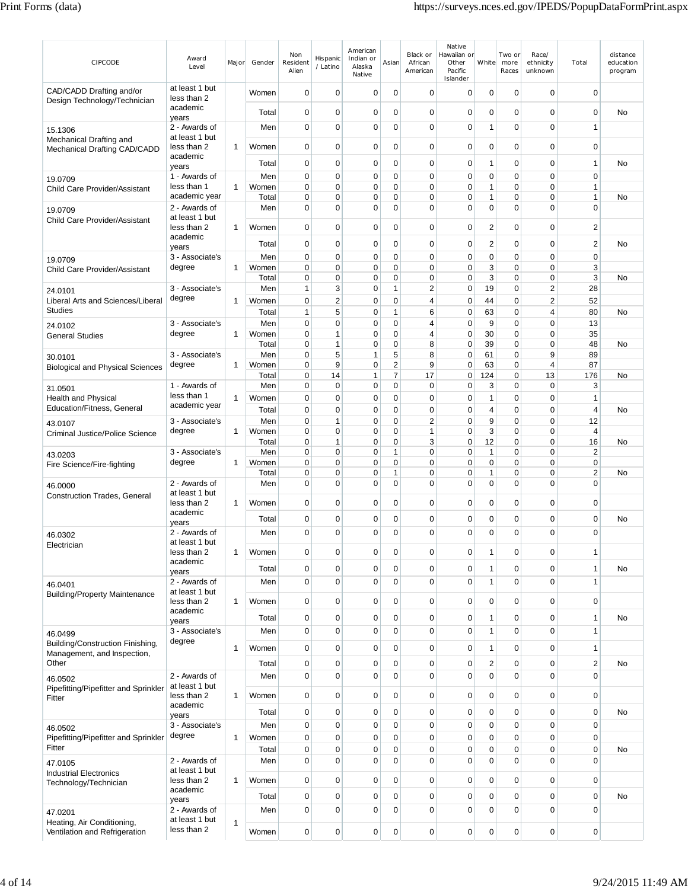| CIPCODE                                                     | Award<br>Level                  | Major        | Gender         | Non<br>Resident<br>Alien   | Hispanic<br>/ Latino | American<br>Indian or<br>Alaska<br>Native | Asian            | Black or<br>African<br>American  | Native<br>Hawaiian or<br>Other<br>Pacific<br>Islander | White                       | Two or<br>more<br>Races    | Race/<br>ethnicity<br>unknown    | Total                         | distance<br>education<br>program |
|-------------------------------------------------------------|---------------------------------|--------------|----------------|----------------------------|----------------------|-------------------------------------------|------------------|----------------------------------|-------------------------------------------------------|-----------------------------|----------------------------|----------------------------------|-------------------------------|----------------------------------|
| CAD/CADD Drafting and/or<br>Design Technology/Technician    | at least 1 but<br>less than 2   |              | Women          | 0                          | 0                    | 0                                         | 0                | 0                                | 0                                                     | 0                           | $\mathbf 0$                | 0                                | $\mathbf 0$                   |                                  |
|                                                             | academic<br>years               |              | Total          | 0                          | 0                    | 0                                         | 0                | 0                                | 0                                                     | 0                           | 0                          | 0                                | $\mathbf 0$                   | No                               |
| 15.1306                                                     | 2 - Awards of                   |              | Men            | $\mathbf 0$                | 0                    | 0                                         | $\overline{0}$   | $\mathbf 0$                      | $\mathbf 0$                                           | 1                           | 0                          | $\Omega$                         | $\mathbf{1}$                  |                                  |
| Mechanical Drafting and<br>Mechanical Drafting CAD/CADD     | at least 1 but<br>less than 2   | 1            | Women          | 0                          | 0                    | 0                                         | 0                | $\mathbf 0$                      | $\mathbf 0$                                           | 0                           | $\mathbf 0$                | 0                                | $\mathbf 0$                   |                                  |
|                                                             | academic<br>years               |              | Total          | 0                          | $\mathbf 0$          | 0                                         | 0                | $\mathbf 0$                      | $\mathbf 0$                                           | 1                           | $\mathbf 0$                | 0                                | $\mathbf{1}$                  | No                               |
| 19.0709                                                     | 1 - Awards of                   |              | Men            | 0                          | $\mathbf 0$          | 0                                         | 0                | $\mathbf 0$                      | $\mathbf 0$                                           | 0                           | $\mathbf 0$                | $\mathbf 0$                      | $\mathbf 0$                   |                                  |
| Child Care Provider/Assistant                               | less than 1                     | $\mathbf{1}$ | Women          | 0                          | 0                    | 0                                         | 0                | $\mathbf 0$                      | $\mathbf 0$                                           | $\mathbf{1}$                | $\mathbf 0$                | $\mathbf 0$                      | $\mathbf{1}$                  |                                  |
| 19.0709                                                     | academic year<br>2 - Awards of  |              | Total<br>Men   | 0<br>$\mathbf 0$           | 0<br>$\Omega$        | 0<br>0                                    | 0<br>0           | $\mathbf 0$<br>$\mathbf 0$       | $\mathbf 0$<br>$\mathbf 0$                            | $\mathbf{1}$<br>$\mathbf 0$ | 0<br>$\mathbf 0$           | $\mathbf 0$<br>$\Omega$          | $\mathbf{1}$<br>$\mathbf 0$   | No                               |
| Child Care Provider/Assistant                               | at least 1 but                  | $\mathbf{1}$ |                | 0                          | 0                    | 0                                         | 0                | $\mathbf 0$                      | $\mathbf 0$                                           | $\overline{2}$              | $\mathbf 0$                | 0                                |                               |                                  |
|                                                             | less than 2<br>academic         |              | Women          |                            |                      |                                           |                  |                                  |                                                       |                             |                            |                                  | $\overline{c}$                |                                  |
|                                                             | years<br>3 - Associate's        |              | Total<br>Men   | $\mathbf 0$<br>0           | 0<br>0               | 0<br>0                                    | 0<br>0           | $\mathbf 0$<br>$\mathbf 0$       | $\mathbf 0$<br>$\mathbf 0$                            | 2<br>0                      | $\mathbf 0$<br>0           | 0<br>$\mathbf 0$                 | $\overline{2}$<br>$\mathbf 0$ | No                               |
| 19.0709<br>Child Care Provider/Assistant                    | degree                          | $\mathbf{1}$ | Women          | 0                          | 0                    | 0                                         | 0                | 0                                | $\mathbf 0$                                           | 3                           | $\mathbf 0$                | 0                                | 3                             |                                  |
|                                                             |                                 |              | Total          | $\mathbf 0$                | 0                    | 0                                         | 0                | $\mathbf 0$                      | $\mathbf 0$                                           | 3                           | 0                          | $\mathbf 0$                      | 3                             | No                               |
| 24.0101<br>Liberal Arts and Sciences/Liberal                | 3 - Associate's<br>degree       | $\mathbf{1}$ | Men<br>Women   | 1<br>0                     | 3<br>$\overline{2}$  | 0<br>0                                    | 1<br>0           | $\overline{2}$<br>$\overline{4}$ | $\mathbf 0$<br>$\mathbf 0$                            | 19<br>44                    | $\mathbf 0$<br>$\mathbf 0$ | $\overline{2}$<br>$\overline{2}$ | 28<br>52                      |                                  |
| <b>Studies</b>                                              |                                 |              | Total          | 1                          | 5                    | 0                                         | 1                | 6                                | $\mathbf 0$                                           | 63                          | $\mathbf 0$                | 4                                | 80                            | No                               |
| 24.0102                                                     | 3 - Associate's                 |              | Men            | $\mathbf 0$                | 0                    | 0                                         | 0                | 4                                | $\mathbf 0$                                           | 9                           | 0                          | 0                                | 13                            |                                  |
| <b>General Studies</b>                                      | degree                          | 1            | Women<br>Total | $\mathbf 0$<br>0           | 1<br>1               | 0<br>0                                    | 0<br>0           | 4<br>8                           | $\mathbf 0$<br>$\mathbf 0$                            | 30<br>39                    | 0<br>0                     | $\mathbf 0$<br>0                 | 35<br>48                      | No                               |
| 30.0101                                                     | 3 - Associate's                 |              | Men            | 0                          | 5                    | 1                                         | 5                | 8                                | $\mathbf 0$                                           | 61                          | 0                          | 9                                | 89                            |                                  |
| <b>Biological and Physical Sciences</b>                     | degree                          | $\mathbf{1}$ | Women          | 0                          | 9                    | 0                                         | $\overline{2}$   | 9                                | $\mathbf 0$                                           | 63                          | 0                          | 4                                | 87                            |                                  |
|                                                             | 1 - Awards of                   |              | Total<br>Men   | 0<br>$\mathbf 0$           | 14<br>$\mathbf 0$    | 1<br>0                                    | 7<br>0           | 17<br>$\mathbf 0$                | $\pmb{0}$<br>$\mathbf 0$                              | 124<br>3                    | $\mathbf 0$<br>$\mathbf 0$ | 13<br>$\mathbf 0$                | 176<br>3                      | No                               |
| 31.0501<br><b>Health and Physical</b>                       | less than 1                     | 1            | Women          | $\mathbf 0$                | 0                    | 0                                         | 0                | 0                                | 0                                                     | 1                           | 0                          | 0                                | 1                             |                                  |
| Education/Fitness, General                                  | academic year                   |              | Total          | 0                          | 0                    | 0                                         | 0                | $\mathbf 0$                      | $\mathbf 0$                                           | 4                           | 0                          | 0                                | 4                             | No                               |
| 43.0107                                                     | 3 - Associate's                 |              | Men            | $\mathbf 0$                | 1                    | 0                                         | 0                | $\overline{2}$                   | $\mathbf 0$                                           | 9                           | 0                          | $\mathbf 0$                      | 12                            |                                  |
| Criminal Justice/Police Science                             | degree                          | 1            | Women<br>Total | 0<br>$\mathbf 0$           | 0<br>1               | 0<br>0                                    | 0<br>0           | 1<br>3                           | $\mathbf 0$<br>$\mathbf 0$                            | 3<br>12                     | 0<br>0                     | 0<br>$\mathbf 0$                 | $\overline{4}$<br>16          | No                               |
| 43.0203                                                     | 3 - Associate's                 |              | Men            | $\mathbf 0$                | 0                    | 0                                         | 1                | 0                                | 0                                                     | 1                           | 0                          | $\Omega$                         | $\overline{\mathbf{c}}$       |                                  |
| Fire Science/Fire-fighting                                  | degree                          | $\mathbf{1}$ | Women          | 0                          | 0<br>0               | 0<br>0                                    | 0                | $\mathbf 0$<br>$\mathbf 0$       | $\mathbf 0$                                           | 0                           | 0<br>0                     | 0<br>0                           | $\mathbf 0$<br>$\overline{2}$ |                                  |
| 46.0000                                                     | 2 - Awards of                   |              | Total<br>Men   | 0<br>$\mathbf 0$           | 0                    | 0                                         | 1<br>0           | $\mathbf 0$                      | 0<br>$\mathbf 0$                                      | 1<br>$\mathbf 0$            | $\mathbf 0$                | $\Omega$                         | $\mathbf 0$                   | No                               |
| <b>Construction Trades, General</b>                         | at least 1 but                  |              |                |                            |                      |                                           |                  |                                  |                                                       |                             |                            |                                  |                               |                                  |
|                                                             | less than 2<br>academic         | 1            | Women          | $\mathbf 0$                | 0                    | 0                                         | 0                | $\mathbf 0$                      | 0                                                     | 0                           | 0                          | 0                                | $\mathbf 0$                   |                                  |
|                                                             | years                           |              | Total          | $\mathbf 0$                | 0                    | 0                                         | 0                | $\mathbf 0$                      | $\mathbf 0$                                           | $\mathbf 0$                 | 0                          | $\mathbf 0$                      | $\mathbf 0$                   | No                               |
| 46.0302<br>Electrician                                      | 2 - Awards of<br>at least 1 but |              | Men            | $\Omega$                   | $\Omega$             | $\mathbf 0$                               | $\Omega$         | $\Omega$                         | $\mathbf 0$                                           | $\Omega$                    | $\Omega$                   | $\Omega$                         | $\Omega$                      |                                  |
|                                                             | less than 2                     | $\mathbf{1}$ | Women          | 0                          | 0                    | 0                                         | 0                | $\mathbf 0$                      | $\mathbf 0$                                           | 1                           | $\mathbf 0$                | 0                                | $\mathbf{1}$                  |                                  |
|                                                             | academic<br>years               |              | Total          | $\mathbf 0$                | 0                    | 0                                         | 0                | $\mathbf 0$                      | 0                                                     | 1                           | $\mathbf 0$                | 0                                | $\mathbf{1}$                  | No                               |
| 46.0401                                                     | 2 - Awards of                   |              | Men            | $\mathbf 0$                | 0                    | $\mathbf 0$                               | $\overline{0}$   | $\mathbf 0$                      | $\mathbf 0$                                           | 1                           | $\mathbf 0$                | 0                                | $\mathbf{1}$                  |                                  |
| <b>Building/Property Maintenance</b>                        | at least 1 but<br>less than 2   | $\mathbf{1}$ | Women          | $\mathbf 0$                | 0                    | 0                                         | 0                | $\mathbf 0$                      | $\pmb{0}$                                             | $\mathbf 0$                 | $\mathbf 0$                | 0                                | $\pmb{0}$                     |                                  |
|                                                             | academic                        |              | Total          | $\mathbf 0$                | $\mathbf 0$          | $\mathbf 0$                               | 0                | $\mathbf 0$                      | $\pmb{0}$                                             | 1                           | $\mathbf 0$                | 0                                | $\mathbf{1}$                  | No                               |
| 46.0499                                                     | years<br>3 - Associate's        |              | Men            | $\mathbf 0$                | $\mathbf 0$          | $\mathbf 0$                               | $\mathbf 0$      | $\mathbf 0$                      | $\pmb{0}$                                             | $\mathbf{1}$                | $\mathbf 0$                | 0                                | $\mathbf{1}$                  |                                  |
| Building/Construction Finishing,                            | degree                          | $\mathbf{1}$ | Women          | $\mathbf 0$                | $\mathbf 0$          | 0                                         | 0                | $\mathbf 0$                      | $\mathbf 0$                                           | $\mathbf{1}$                | $\mathbf 0$                | 0                                | $\mathbf{1}$                  |                                  |
| Management, and Inspection,<br>Other                        |                                 |              |                | $\mathbf 0$                | 0                    | $\mathbf 0$                               | 0                | $\mathbf 0$                      | $\mathbf 0$                                           | $\boldsymbol{2}$            | $\mathbf 0$                | 0                                | $\boldsymbol{2}$              | <b>No</b>                        |
|                                                             | 2 - Awards of                   |              | Total<br>Men   | $\mathbf 0$                | 0                    | $\mathbf 0$                               | $\mathbf 0$      | $\mathbf 0$                      | $\mathbf 0$                                           | $\mathbf 0$                 | $\mathbf 0$                | $\mathbf 0$                      | $\mathbf 0$                   |                                  |
| 46.0502<br>Pipefitting/Pipefitter and Sprinkler             | at least 1 but                  |              |                |                            |                      |                                           |                  |                                  |                                                       |                             |                            |                                  |                               |                                  |
| Fitter                                                      | less than 2<br>academic         | $\mathbf{1}$ | Women          | $\mathbf 0$                | $\mathbf 0$          | 0                                         | 0                | $\mathbf 0$                      | $\pmb{0}$                                             | $\mathbf 0$                 | $\mathbf 0$                | 0                                | $\mathbf 0$                   |                                  |
|                                                             | years                           |              | Total          | $\mathbf 0$                | 0                    | 0                                         | 0                | $\mathbf 0$                      | $\mathbf 0$                                           | $\mathbf 0$                 | $\mathbf 0$                | 0                                | $\pmb{0}$                     | No                               |
| 46.0502                                                     | 3 - Associate's                 |              | Men            | $\mathbf 0$                | 0                    | 0                                         | $\mathbf 0$      | $\mathbf 0$                      | $\mathbf 0$                                           | $\mathbf 0$                 | $\mathbf 0$                | 0                                | $\pmb{0}$                     |                                  |
| Pipefitting/Pipefitter and Sprinkler<br>Fitter              | degree                          | $\mathbf{1}$ | Women          | $\mathbf 0$<br>$\mathbf 0$ | 0<br>0               | $\mathbf 0$                               | $\mathbf 0$<br>0 | $\mathbf 0$<br>$\mathbf 0$       | $\pmb{0}$                                             | $\pmb{0}$<br>$\mathbf 0$    | $\mathbf 0$<br>$\mathbf 0$ | $\mathbf 0$<br>0                 | $\pmb{0}$                     |                                  |
| 47.0105                                                     | 2 - Awards of                   |              | Total<br>Men   | $\mathbf 0$                | 0                    | 0<br>0                                    | $\mathbf 0$      | $\mathbf 0$                      | $\mathbf 0$<br>$\mathbf 0$                            | $\mathbf 0$                 | $\mathbf 0$                | 0                                | $\pmb{0}$<br>$\mathbf 0$      | No                               |
| <b>Industrial Electronics</b>                               | at least 1 but                  |              |                |                            |                      |                                           |                  |                                  |                                                       |                             |                            |                                  |                               |                                  |
| Technology/Technician                                       | less than 2<br>academic         | $\mathbf{1}$ | Women          | $\mathbf 0$                | 0                    | 0                                         | 0                | $\mathbf 0$                      | $\pmb{0}$                                             | $\mathbf 0$                 | $\mathbf 0$                | 0                                | $\pmb{0}$                     |                                  |
|                                                             | years                           |              | Total          | $\mathbf 0$                | $\mathbf 0$          | 0                                         | 0                | $\mathbf 0$                      | $\mathbf 0$                                           | $\mathbf 0$                 | $\mathbf 0$                | 0                                | $\mathbf 0$                   | No                               |
| 47.0201                                                     | 2 - Awards of<br>at least 1 but |              | Men            | $\mathbf 0$                | 0                    | $\mathbf 0$                               | $\mathbf 0$      | $\mathbf 0$                      | $\mathbf 0$                                           | $\mathbf 0$                 | $\mathbf 0$                | 0                                | $\mathbf 0$                   |                                  |
| Heating, Air Conditioning,<br>Ventilation and Refrigeration | less than 2                     | $\mathbf{1}$ | Women          | $\mathbf 0$                | 0                    | 0                                         | 0                | $\mathbf 0$                      | $\pmb{0}$                                             | $\mathbf 0$                 | $\mathbf 0$                | 0                                | $\mathbf 0$                   |                                  |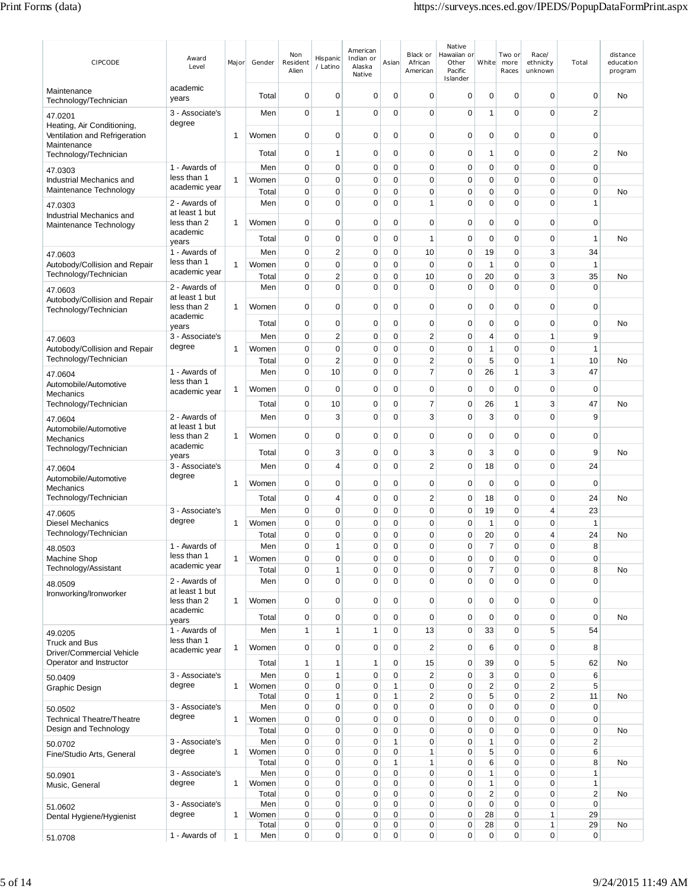| <b>CIPCODE</b>                                                             | Award<br>Level                  | Major        | Gender         | Non<br>Resident<br>Alien   | Hispanic<br>/ Latino       | American<br>Indian or<br>Alaska<br>Native | Asian                      | Black or<br>African<br>American | Native<br>Hawaiian or<br>Other<br>Pacific<br>Islander | White                        | Two or<br>more<br>Races    | Race/<br>ethnicity<br>unknown | Total                      | distance<br>education<br>program |
|----------------------------------------------------------------------------|---------------------------------|--------------|----------------|----------------------------|----------------------------|-------------------------------------------|----------------------------|---------------------------------|-------------------------------------------------------|------------------------------|----------------------------|-------------------------------|----------------------------|----------------------------------|
| Maintenance<br>Technology/Technician                                       | academic<br>years               |              | Total          | 0                          | 0                          | 0                                         | $\mathbf 0$                | 0                               | 0                                                     | 0                            | $\mathbf 0$                | 0                             | $\mathbf 0$                | No                               |
| 47.0201                                                                    | 3 - Associate's                 |              | Men            | $\mathbf 0$                | 1                          | $\mathbf 0$                               | $\mathbf 0$                | $\mathbf 0$                     | 0                                                     | $\mathbf{1}$                 | $\mathbf 0$                | 0                             | $\overline{2}$             |                                  |
| Heating, Air Conditioning,<br>Ventilation and Refrigeration<br>Maintenance | degree                          | 1            | Women          | 0                          | 0                          | 0                                         | 0                          | 0                               | 0                                                     | 0                            | 0                          | 0                             | 0                          |                                  |
| Technology/Technician                                                      |                                 |              | Total          | 0                          | 1                          | 0                                         | 0                          | 0                               | 0                                                     | 1                            | 0                          | 0                             | $\overline{c}$             | No                               |
| 47.0303                                                                    | 1 - Awards of<br>less than 1    |              | Men            | 0                          | 0                          | $\mathbf 0$                               | 0                          | 0                               | 0                                                     | 0                            | 0                          | 0                             | $\mathbf 0$                |                                  |
| Industrial Mechanics and<br>Maintenance Technology                         | academic year                   | 1            | Women<br>Total | $\mathbf 0$<br>$\mathbf 0$ | 0<br>0                     | 0<br>0                                    | $\mathbf 0$<br>$\mathbf 0$ | $\mathbf 0$<br>$\mathbf 0$      | 0<br>0                                                | $\mathbf 0$<br>$\pmb{0}$     | 0<br>$\mathbf 0$           | $\mathbf 0$<br>$\mathbf 0$    | $\mathbf 0$<br>$\mathbf 0$ | No                               |
| 47.0303                                                                    | 2 - Awards of                   |              | Men            | $\mathbf 0$                | $\mathbf 0$                | 0                                         | 0                          | 1                               | 0                                                     | $\mathbf 0$                  | $\mathbf 0$                | $\mathbf 0$                   | $\mathbf{1}$               |                                  |
| Industrial Mechanics and                                                   | at least 1 but<br>less than 2   | 1            | Women          | $\mathbf 0$                | 0                          | $\mathbf 0$                               | $\mathbf 0$                | $\mathbf 0$                     | 0                                                     | $\mathbf 0$                  | 0                          | 0                             | $\mathbf 0$                |                                  |
| Maintenance Technology                                                     | academic                        |              |                | $\mathbf 0$                |                            |                                           |                            | 1                               | 0                                                     |                              |                            |                               | $\mathbf{1}$               |                                  |
|                                                                            | years<br>1 - Awards of          |              | Total<br>Men   | 0                          | 0<br>$\overline{c}$        | 0<br>$\mathbf 0$                          | 0<br>$\mathbf 0$           | 10                              | 0                                                     | 0<br>19                      | 0<br>0                     | 0<br>3                        | 34                         | No                               |
| 47.0603<br>Autobody/Collision and Repair                                   | less than 1                     | 1            | Women          | 0                          | 0                          | 0                                         | $\mathbf 0$                | $\mathbf 0$                     | 0                                                     | $\mathbf{1}$                 | $\mathbf 0$                | 0                             | 1                          |                                  |
| Technology/Technician                                                      | academic year                   |              | Total          | $\mathbf 0$                | $\overline{c}$             | $\mathbf 0$                               | 0                          | 10                              | 0                                                     | 20                           | 0                          | 3                             | 35                         | No                               |
| 47.0603                                                                    | 2 - Awards of                   |              | Men            | $\mathbf 0$                | $\mathbf 0$                | 0                                         | 0                          | $\mathbf 0$                     | 0                                                     | $\mathbf 0$                  | $\mathbf 0$                | $\mathbf 0$                   | $\mathbf 0$                |                                  |
| Autobody/Collision and Repair<br>Technology/Technician                     | at least 1 but<br>less than 2   | 1            | Women          | $\mathbf 0$                | 0                          | 0                                         | $\mathbf 0$                | 0                               | 0                                                     | $\mathbf 0$                  | 0                          | 0                             | 0                          |                                  |
|                                                                            | academic                        |              | Total          | $\mathbf 0$                | $\mathbf 0$                | 0                                         | $\mathbf 0$                | $\mathbf 0$                     | 0                                                     | $\mathbf 0$                  | 0                          | 0                             | $\mathbf 0$                | No                               |
| 47.0603                                                                    | years<br>3 - Associate's        |              | Men            | $\mathbf 0$                | $\overline{c}$             | $\mathbf 0$                               | $\mathbf 0$                | $\overline{2}$                  | 0                                                     | 4                            | $\mathbf 0$                | 1                             | 9                          |                                  |
| Autobody/Collision and Repair                                              | degree                          | 1            | Women          | $\mathbf 0$                | $\mathbf 0$                | 0                                         | $\mathbf 0$                | $\mathbf 0$                     | 0                                                     | $\mathbf{1}$                 | $\mathbf 0$                | $\mathbf 0$                   | $\mathbf{1}$               |                                  |
| Technology/Technician                                                      |                                 |              | Total          | 0                          | $\overline{c}$             | 0                                         | $\mathbf 0$                | $\overline{c}$                  | 0                                                     | 5                            | $\mathbf 0$                | 1                             | 10                         | No                               |
| 47.0604                                                                    | 1 - Awards of<br>less than 1    |              | Men            | 0                          | 10                         | 0                                         | 0                          | $\overline{7}$                  | 0                                                     | 26                           | 1                          | 3                             | 47                         |                                  |
| Automobile/Automotive<br>Mechanics                                         | academic year                   | 1            | Women          | $\mathbf 0$                | 0                          | 0                                         | 0                          | $\mathbf 0$                     | 0                                                     | $\mathbf 0$                  | $\mathbf 0$                | $\mathbf 0$                   | $\mathbf 0$                |                                  |
| Technology/Technician                                                      |                                 |              | Total          | $\mathbf 0$                | 10                         | 0                                         | $\mathbf 0$                | $\overline{7}$                  | 0                                                     | 26                           | 1                          | 3                             | 47                         | No                               |
| 47.0604                                                                    | 2 - Awards of<br>at least 1 but |              | Men            | $\mathbf 0$                | 3                          | 0                                         | $\mathbf 0$                | 3                               | 0                                                     | 3                            | $\mathbf 0$                | 0                             | 9                          |                                  |
| Automobile/Automotive<br>Mechanics                                         | less than 2                     | 1            | Women          | $\mathbf 0$                | 0                          | 0                                         | 0                          | 0                               | 0                                                     | $\mathbf 0$                  | $\mathbf 0$                | 0                             | $\mathbf 0$                |                                  |
| Technology/Technician                                                      | academic<br>years               |              | Total          | 0                          | 3                          | 0                                         | 0                          | 3                               | 0                                                     | 3                            | 0                          | 0                             | 9                          | No                               |
| 47.0604                                                                    | 3 - Associate's                 |              | Men            | 0                          | 4                          | 0                                         | 0                          | $\overline{2}$                  | 0                                                     | 18                           | $\mathbf 0$                | 0                             | 24                         |                                  |
| Automobile/Automotive                                                      | degree                          | 1            | Women          | $\mathbf 0$                | 0                          | 0                                         | 0                          | $\mathbf 0$                     | 0                                                     | $\mathbf 0$                  | $\mathbf 0$                | $\mathbf 0$                   | $\mathbf 0$                |                                  |
| Mechanics<br>Technology/Technician                                         |                                 |              | Total          | $\mathbf 0$                | 4                          | 0                                         | $\mathbf 0$                | 2                               | 0                                                     | 18                           | 0                          | 0                             | 24                         | No                               |
| 47.0605                                                                    | 3 - Associate's                 |              | Men            | 0                          | 0                          | 0                                         | $\mathbf 0$                | 0                               | 0                                                     | 19                           | 0                          | 4                             | 23                         |                                  |
| <b>Diesel Mechanics</b>                                                    | degree                          | 1            | Women          | 0                          | 0                          | 0                                         | $\mathbf 0$                | 0                               | 0                                                     | $\mathbf{1}$                 | $\mathbf 0$                | 0                             | $\mathbf{1}$               |                                  |
| Technology/Technician                                                      |                                 |              | Total          | 0                          | 0                          | 0                                         | 0                          | 0                               | 0                                                     | 20                           | 0                          | 4                             | 24                         | No                               |
| 48.0503<br>Machine Shop                                                    | 1 - Awards of<br>less than 1    | 1            | Men<br>Women   | 0<br>$\mathbf 0$           | 1<br>$\mathbf 0$           | 0<br>$\mathbf 0$                          | 0<br>$\mathbf 0$           | 0<br>$\mathbf 0$                | 0<br>0                                                | 7<br>$\mathbf 0$             | 0<br>$\mathbf 0$           | 0<br>0                        | 8<br>$\mathbf 0$           |                                  |
| Technology/Assistant                                                       | academic year                   |              | Total          | $\mathbf 0$                | 1                          | 0                                         | 0                          | 0                               | 0                                                     | 7                            | $\mathbf 0$                | 0                             | 8                          | No                               |
| 48.0509                                                                    | 2 - Awards of<br>at least 1 but |              | Men            | $\mathbf 0$                | $\mathbf 0$                | 0                                         | $\Omega$                   | 0                               | 0                                                     | $\Omega$                     | $\Omega$                   | 0                             | $\mathbf 0$                |                                  |
| Ironworking/Ironworker                                                     | less than 2                     | 1            | Women          | $\mathbf 0$                | $\mathbf 0$                | 0                                         | $\mathbf 0$                | $\mathbf 0$                     | 0                                                     | $\mathbf 0$                  | $\mathbf 0$                | 0                             | $\mathbf 0$                |                                  |
|                                                                            | academic<br>years               |              | Total          | 0                          | 0                          | 0                                         | $\mathbf 0$                | 0                               | 0                                                     | 0                            | $\mathbf 0$                | 0                             | $\mathbf 0$                | No                               |
| 49.0205                                                                    | 1 - Awards of                   |              | Men            | $\mathbf{1}$               | 1                          | 1                                         | $\mathbf 0$                | 13                              | 0                                                     | 33                           | $\mathbf 0$                | 5                             | 54                         |                                  |
| <b>Truck and Bus</b><br>Driver/Commercial Vehicle                          | less than 1<br>academic year    | 1            | Women          | $\mathbf 0$                | $\mathbf 0$                | 0                                         | $\mathbf 0$                | $\overline{2}$                  | 0                                                     | 6                            | 0                          | 0                             | 8                          |                                  |
| Operator and Instructor                                                    |                                 |              | Total          | $\mathbf{1}$               | 1                          | 1                                         | $\mathbf 0$                | 15                              | 0                                                     | 39                           | $\mathbf 0$                | 5                             | 62                         | No                               |
| 50.0409                                                                    | 3 - Associate's                 |              | Men            | $\mathbf 0$                | 1                          | $\mathbf 0$                               | $\mathbf 0$                | 2                               | 0                                                     | 3                            | $\mathbf 0$                | 0                             | 6                          |                                  |
| Graphic Design                                                             | degree                          | 1            | Women<br>Total | $\pmb{0}$<br>0             | $\mathbf 0$<br>1           | 0<br>0                                    | 1<br>1                     | $\mathbf 0$<br>2                | 0<br>0                                                | $\overline{\mathbf{c}}$<br>5 | $\mathbf 0$<br>$\mathbf 0$ | 2<br>2                        | 5<br>11                    | No                               |
| 50.0502                                                                    | 3 - Associate's                 |              | Men            | $\mathbf 0$                | 0                          | $\mathbf 0$                               | 0                          | $\mathbf 0$                     | 0                                                     | $\mathbf 0$                  | 0                          | 0                             | $\pmb{0}$                  |                                  |
| <b>Technical Theatre/Theatre</b>                                           | degree                          | $\mathbf{1}$ | Women          | $\mathbf 0$                | $\mathbf 0$                | 0                                         | $\mathbf 0$                | 0                               | 0                                                     | $\mathbf 0$                  | $\mathbf 0$                | 0                             | $\mathbf 0$                |                                  |
| Design and Technology                                                      |                                 |              | Total          | $\mathbf 0$                | 0                          | 0                                         | $\mathbf 0$                | 0                               | 0                                                     | $\pmb{0}$                    | $\mathbf 0$                | 0                             | $\pmb{0}$                  | No                               |
| 50.0702<br>Fine/Studio Arts, General                                       | 3 - Associate's<br>degree       | 1            | Men<br>Women   | $\mathbf 0$<br>$\mathbf 0$ | $\mathbf 0$<br>$\mathbf 0$ | 0<br>0                                    | $\mathbf{1}$<br>0          | $\mathbf 0$<br>$\mathbf{1}$     | 0<br>0                                                | $\mathbf{1}$<br>5            | $\mathbf 0$<br>$\mathbf 0$ | $\overline{0}$<br>0           | $\boldsymbol{2}$<br>6      |                                  |
|                                                                            |                                 |              | Total          | $\mathbf 0$                | 0                          | 0                                         | 1                          | $\mathbf{1}$                    | 0                                                     | 6                            | $\mathbf 0$                | 0                             | 8                          | No                               |
| 50.0901                                                                    | 3 - Associate's<br>degree       |              | Men            | $\mathbf 0$                | $\mathbf 0$<br>$\mathbf 0$ | 0<br>0                                    | 0<br>0                     | 0                               | 0                                                     | $\mathbf{1}$                 | $\mathbf 0$<br>$\mathbf 0$ | 0<br>0                        | $\mathbf{1}$               |                                  |
| Music, General                                                             |                                 | 1            | Women<br>Total | $\mathbf 0$<br>$\pmb{0}$   | $\mathbf 0$                | 0                                         | $\mathbf 0$                | 0<br>$\mathbf 0$                | 0<br>0                                                | $\mathbf{1}$<br>$\mathbf 2$  | 0                          | 0                             | $\mathbf{1}$<br>$\sqrt{2}$ | No                               |
| 51.0602                                                                    | 3 - Associate's                 |              | Men            | $\mathbf 0$                | 0                          | 0                                         | $\mathbf 0$                | 0                               | 0                                                     | 0                            | $\mathbf 0$                | 0                             | $\mathbf 0$                |                                  |
| Dental Hygiene/Hygienist                                                   | degree                          | 1            | Women<br>Total | $\pmb{0}$<br>$\pmb{0}$     | 0<br>$\mathbf 0$           | $\mathbf 0$<br>0                          | $\mathbf 0$<br>$\pmb{0}$   | $\mathbf 0$<br>0                | 0<br>0                                                | 28<br>28                     | 0<br>0                     | 1<br>1                        | 29<br>29                   | No                               |
| 51.0708                                                                    | 1 - Awards of                   | $\mathbf{1}$ | Men            | $\mathbf 0$                | 0                          | $\mathbf 0$                               | 0                          | $\mathbf 0$                     | 0                                                     | $\mathbf 0$                  | 0                          | 0                             | $\mathbf 0$                |                                  |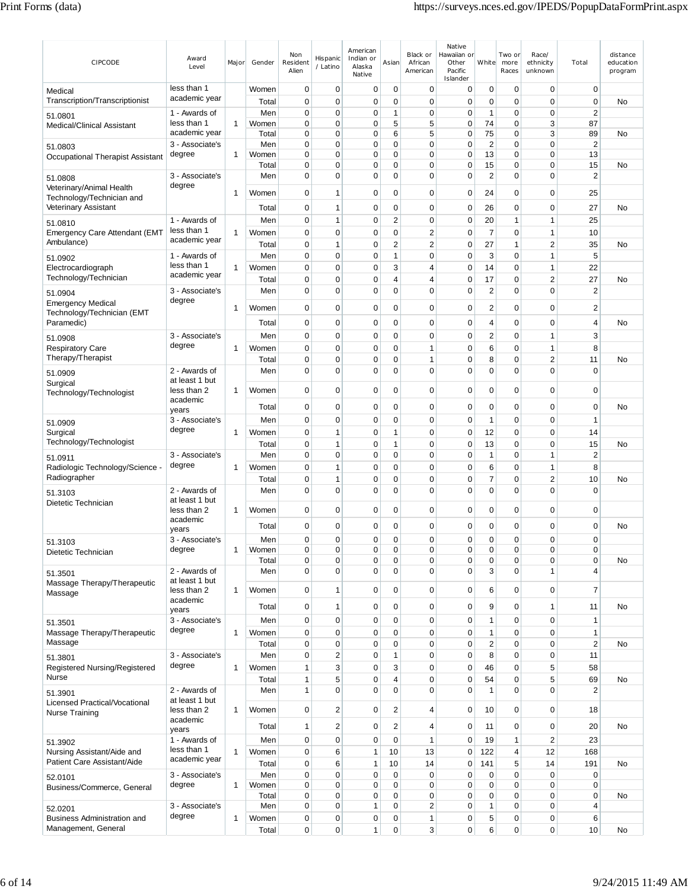| CIPCODE                                               | Award<br>Level                   | Major        | Gender         | Non<br>Resident<br>Alien | Hispanic<br>/ Latino          | American<br>Indian or<br>Alaska<br>Native | Asian                      | Black or<br>African<br>American | Native<br>Hawaiian or<br>Other<br>Pacific<br>Islander | White                      | Two or<br>more<br>Races | Race/<br>ethnicity<br>unknown | Total                          | distance<br>education<br>program |
|-------------------------------------------------------|----------------------------------|--------------|----------------|--------------------------|-------------------------------|-------------------------------------------|----------------------------|---------------------------------|-------------------------------------------------------|----------------------------|-------------------------|-------------------------------|--------------------------------|----------------------------------|
| Medical<br>Transcription/Transcriptionist             | less than 1<br>academic year     |              | Women<br>Total | 0<br>0                   | 0<br>0                        | 0<br>0                                    | $\mathbf 0$<br>0           | $\mathbf 0$<br>0                | 0<br>0                                                | 0<br>0                     | $\mathbf 0$<br>0        | 0<br>0                        | 0<br>$\mathbf 0$               | No                               |
| 51.0801                                               | 1 - Awards of                    |              | Men            | $\mathbf 0$              | 0                             | $\mathbf 0$                               | 1                          | 0                               | $\mathbf 0$                                           | $\overline{1}$             | 0                       | 0                             | $\overline{2}$                 |                                  |
| <b>Medical/Clinical Assistant</b>                     | less than 1                      | 1            | Women          | 0                        | 0                             | 0                                         | 5                          | 5                               | 0                                                     | 74                         | 0                       | 3                             | 87                             |                                  |
|                                                       | academic year<br>3 - Associate's |              | Total<br>Men   | 0<br>$\mathbf 0$         | 0<br>0                        | 0<br>$\mathbf 0$                          | 6<br>0                     | 5<br>0                          | 0<br>0                                                | 75<br>$\overline{c}$       | 0<br>$\mathbf 0$        | 3<br>$\mathbf 0$              | 89<br>$\overline{2}$           | No                               |
| 51.0803<br>Occupational Therapist Assistant           | degree                           | 1            | Women          | $\mathbf 0$              | 0                             | $\mathbf 0$                               | 0                          | 0                               | 0                                                     | 13                         | $\mathbf 0$             | 0                             | 13                             |                                  |
|                                                       |                                  |              | Total          | $\mathbf 0$              | $\mathbf 0$                   | $\mathbf 0$                               | 0                          | 0                               | $\mathbf 0$                                           | 15                         | 0                       | $\mathbf 0$                   | 15                             | No                               |
| 51.0808                                               | 3 - Associate's                  |              | Men            | $\mathbf 0$              | $\mathbf 0$                   | $\mathbf 0$                               | 0                          | 0                               | $\mathbf 0$                                           | $\overline{2}$             | $\mathbf 0$             | 0                             | $\overline{2}$                 |                                  |
| Veterinary/Animal Health<br>Technology/Technician and | degree                           | 1            | Women          | 0                        | 1                             | 0                                         | 0                          | 0                               | 0                                                     | 24                         | 0                       | 0                             | 25                             |                                  |
| Veterinary Assistant                                  | 1 - Awards of                    |              | Total<br>Men   | 0<br>$\mathbf 0$         | 1<br>1                        | 0<br>$\mathbf 0$                          | 0<br>$\overline{2}$        | 0<br>$\mathbf 0$                | $\mathbf 0$<br>0                                      | 26<br>20                   | 0<br>1                  | 0<br>1                        | 27<br>25                       | No                               |
| 51.0810                                               | less than 1                      | 1            | Women          | 0                        | 0                             | 0                                         | 0                          | 2                               | $\mathbf 0$                                           | $\overline{7}$             | $\mathbf 0$             | 1                             | 10                             |                                  |
| <b>Emergency Care Attendant (EMT</b><br>Ambulance)    | academic year                    |              | Total          | 0                        | 1                             | 0                                         | $\overline{2}$             | 2                               | 0                                                     | 27                         | 1                       | $\overline{2}$                | 35                             | No                               |
| 51.0902                                               | 1 - Awards of                    |              | Men            | $\mathbf 0$              | 0                             | 0                                         | 1                          | 0                               | $\pmb{0}$                                             | 3                          | $\mathbf 0$             | 1                             | 5                              |                                  |
| Electrocardiograph                                    | less than 1                      | 1            | Women          | $\mathbf 0$              | 0                             | 0                                         | 3                          | 4                               | $\mathbf 0$                                           | 14                         | $\mathbf 0$             | 1                             | 22                             |                                  |
| Technology/Technician                                 | academic year                    |              | Total          | $\mathbf 0$              | 0                             | 0                                         | 4                          | 4                               | 0                                                     | 17                         | $\mathbf 0$             | $\overline{c}$                | 27                             | No                               |
| 51.0904                                               | 3 - Associate's                  |              | Men            | 0                        | 0                             | 0                                         | 0                          | 0                               | 0                                                     | $\overline{2}$             | 0                       | 0                             | $\overline{2}$                 |                                  |
| <b>Emergency Medical</b>                              | degree                           | 1            | Women          | $\mathbf 0$              | 0                             | $\mathbf 0$                               | 0                          | 0                               | 0                                                     | $\overline{2}$             | 0                       | 0                             | $\overline{c}$                 |                                  |
| Technology/Technician (EMT                            |                                  |              |                |                          |                               |                                           |                            |                                 |                                                       |                            |                         |                               |                                |                                  |
| Paramedic)                                            |                                  |              | Total          | 0                        | 0                             | $\mathbf 0$                               | 0                          | 0                               | 0                                                     | 4                          | 0                       | 0                             | $\overline{4}$                 | No                               |
| 51.0908                                               | 3 - Associate's<br>degree        |              | Men            | 0                        | 0                             | 0                                         | 0                          | 0                               | 0                                                     | $\overline{2}$             | $\mathbf 0$             | 1                             | 3                              |                                  |
| <b>Respiratory Care</b><br>Therapy/Therapist          |                                  | 1            | Women<br>Total | $\mathbf 0$<br>0         | 0<br>0                        | $\mathbf 0$<br>0                          | 0<br>0                     | 1<br>1                          | $\mathbf 0$<br>0                                      | 6<br>8                     | $\mathbf 0$<br>0        | 1<br>2                        | 8<br>11                        | No                               |
|                                                       | 2 - Awards of                    |              | Men            | $\mathbf 0$              | $\mathbf 0$                   | $\mathbf 0$                               | 0                          | 0                               | $\mathbf 0$                                           | $\mathbf 0$                | $\Omega$                | 0                             | $\mathbf 0$                    |                                  |
| 51.0909<br>Surgical                                   | at least 1 but                   |              |                |                          |                               |                                           |                            |                                 |                                                       |                            |                         |                               |                                |                                  |
| Technology/Technologist                               | less than 2                      | -1           | Women          | $\mathbf 0$              | 0                             | $\mathbf 0$                               | 0                          | 0                               | $\pmb{0}$                                             | $\mathbf 0$                | $\mathbf 0$             | 0                             | $\mathbf 0$                    |                                  |
|                                                       | academic<br>years                |              | Total          | $\mathbf 0$              | 0                             | 0                                         | 0                          | 0                               | 0                                                     | 0                          | 0                       | 0                             | $\mathbf 0$                    | No                               |
| 51.0909                                               | 3 - Associate's                  |              | Men            | $\mathbf 0$              | 0                             | 0                                         | 0                          | 0                               | 0                                                     | $\overline{1}$             | 0                       | 0                             | $\mathbf{1}$                   |                                  |
| Surgical                                              | degree                           | 1            | Women          | $\mathbf 0$              | 1                             | $\mathbf 0$                               | 1                          | 0                               | 0                                                     | 12                         | $\mathbf 0$             | $\mathbf 0$                   | 14                             |                                  |
| Technology/Technologist                               |                                  |              | Total          | $\mathbf 0$              | $\mathbf{1}$                  | $\mathbf 0$                               | 1                          | 0                               | 0                                                     | 13                         | $\mathbf 0$             | 0                             | 15                             | No                               |
| 51.0911                                               | 3 - Associate's                  |              | Men            | $\mathbf 0$              | 0                             | $\mathbf 0$                               | 0                          | 0                               | $\mathbf 0$                                           | $\mathbf{1}$               | 0                       | 1                             | $\overline{2}$                 |                                  |
| Radiologic Technology/Science -                       | degree                           | 1            | Women          | $\mathbf 0$              | 1                             | $\mathbf 0$                               | 0                          | 0                               | 0                                                     | 6                          | $\mathbf 0$             | 1                             | 8                              |                                  |
| Radiographer                                          |                                  |              | Total          | $\mathbf 0$              | 1                             | $\mathbf 0$                               | $\mathbf 0$                | 0                               | 0                                                     | 7                          | $\mathbf 0$             | $\overline{2}$                | 10                             | No                               |
| 51.3103                                               | 2 - Awards of<br>at least 1 but  |              | Men            | $\mathbf 0$              | 0                             | $\mathbf 0$                               | 0                          | 0                               | $\mathbf 0$                                           | $\mathbf 0$                | 0                       | 0                             | $\mathbf 0$                    |                                  |
| Dietetic Technician                                   | less than 2                      | 1            | Women          | 0                        | 0                             | $\mathbf 0$                               | 0                          | 0                               | 0                                                     | 0                          | 0                       | 0                             | $\mathbf 0$                    |                                  |
|                                                       | academic                         |              | Total          | 0                        | 0                             | 0                                         | 0                          | 0                               | 0                                                     | 0                          | 0                       | 0                             | $\mathbf 0$                    | No                               |
|                                                       | years<br>3 - Associate's         |              |                | $\Omega$                 | 0                             | 0                                         | $\Omega$                   | $\Omega$                        | 0                                                     | 0                          | $\Omega$                | $\Omega$                      | $\mathbf 0$                    |                                  |
| 51.3103<br>Dietetic Technician                        | degree                           | 1            | Men<br>Women   | 0                        | 0                             | 0                                         | 0                          | 0                               | 0                                                     | $\pmb{0}$                  | 0                       | 0                             | $\mathbf 0$                    |                                  |
|                                                       |                                  |              | Total          | 0                        | 0                             | 0                                         | 0                          | 0                               | 0                                                     | $\mathbf 0$                | 0                       | 0                             | $\mathbf 0$                    | No                               |
| 51.3501                                               | 2 - Awards of                    |              | Men            | $\mathbf 0$              | 0                             | $\mathbf 0$                               | 0                          | 0                               | $\mathbf 0$                                           | 3                          | 0                       | 1                             | $\overline{4}$                 |                                  |
| Massage Therapy/Therapeutic                           | at least 1 but<br>less than 2    | 1            | Women          | $\mathbf 0$              | 1                             | 0                                         | 0                          | 0                               | $\mathbf 0$                                           | 6                          | 0                       | 0                             | $\overline{7}$                 |                                  |
| Massage                                               | academic                         |              |                |                          |                               |                                           |                            |                                 |                                                       |                            |                         |                               |                                |                                  |
|                                                       | years                            |              | Total          | 0                        | 1                             | 0                                         | 0                          | 0                               | 0                                                     | 9                          | 0                       | 1                             | 11                             | No                               |
| 51.3501                                               | 3 - Associate's<br>degree        |              | Men            | $\mathbf 0$              | 0                             | 0                                         | 0                          | 0                               | $\mathbf 0$                                           | $\mathbf{1}$               | $\mathbf 0$             | 0                             | $\mathbf{1}$                   |                                  |
| Massage Therapy/Therapeutic<br>Massage                |                                  | $\mathbf{1}$ | Women          | $\mathbf 0$              | 0                             | 0                                         | $\mathbf 0$                | $\mathbf 0$                     | $\pmb{0}$                                             | $\mathbf{1}$               | $\mathbf 0$             | 0<br>$\overline{0}$           | $\mathbf{1}$<br>$\overline{2}$ |                                  |
|                                                       | 3 - Associate's                  |              | Total<br>Men   | $\mathbf 0$<br>0         | $\mathbf 0$<br>$\overline{2}$ | $\mathbf 0$<br>0                          | 0<br>1                     | 0<br>0                          | $\mathbf 0$<br>$\mathbf 0$                            | $\overline{2}$<br>8        | 0<br>0                  | 0                             | 11                             | No                               |
| 51.3801<br>Registered Nursing/Registered              | degree                           | 1            | Women          | 1                        | 3                             | 0                                         | 3                          | 0                               | $\mathbf 0$                                           | 46                         | 0                       | 5                             | 58                             |                                  |
| Nurse                                                 |                                  |              | Total          | 1                        | 5                             | 0                                         | 4                          | 0                               | $\pmb{0}$                                             | 54                         | 0                       | 5                             | 69                             | No                               |
| 51.3901                                               | 2 - Awards of                    |              | Men            | $\mathbf{1}$             | $\overline{0}$                | $\mathbf 0$                               | 0                          | 0                               | $\mathbf 0$                                           | $\mathbf{1}$               | $\mathbf 0$             | 0                             | $\overline{2}$                 |                                  |
| Licensed Practical/Vocational                         | at least 1 but                   |              |                |                          |                               |                                           |                            |                                 |                                                       |                            |                         |                               |                                |                                  |
| Nurse Training                                        | less than 2<br>academic          | 1            | Women          | $\mathbf 0$              | $\overline{c}$                | 0                                         | $\overline{2}$             | 4                               | 0                                                     | 10                         | $\mathbf 0$             | 0                             | 18                             |                                  |
|                                                       | years                            |              | Total          | 1                        | $\overline{c}$                | 0                                         | $\overline{2}$             | 4                               | $\mathbf 0$                                           | 11                         | 0                       | 0                             | 20                             | No                               |
| 51.3902                                               | 1 - Awards of                    |              | Men            | $\mathbf 0$              | 0                             | 0                                         | $\mathbf 0$                | $\mathbf{1}$                    | 0                                                     | 19                         | $\mathbf{1}$            | $\overline{c}$                | 23                             |                                  |
| Nursing Assistant/Aide and                            | less than 1<br>academic year     | 1            | Women          | $\mathbf 0$              | 6                             | 1                                         | 10                         | 13                              | $\mathbf 0$                                           | 122                        | 4                       | 12                            | 168                            |                                  |
| Patient Care Assistant/Aide                           |                                  |              | Total          | $\mathbf 0$              | 6                             | 1                                         | 10                         | 14                              | 0                                                     | 141                        | 5                       | 14                            | 191                            | No                               |
| 52.0101                                               | 3 - Associate's<br>degree        | $\mathbf{1}$ | Men<br>Women   | $\mathbf 0$<br>0         | $\mathbf 0$<br>$\mathbf 0$    | 0<br>$\mathbf 0$                          | $\mathbf 0$<br>$\mathbf 0$ | $\mathbf 0$<br>0                | $\pmb{0}$<br>$\mathbf 0$                              | $\mathbf 0$<br>$\mathbf 0$ | $\mathbf 0$<br>0        | 0<br>0                        | $\pmb{0}$<br>$\pmb{0}$         |                                  |
| Business/Commerce, General                            |                                  |              | Total          | $\mathbf 0$              | 0                             | 0                                         | 0                          | 0                               | 0                                                     | $\mathbf 0$                | 0                       | 0                             | $\mathbf 0$                    | No                               |
| 52.0201                                               | 3 - Associate's                  |              | Men            | $\mathbf 0$              | 0                             | 1                                         | 0                          | $\overline{c}$                  | $\mathbf 0$                                           | $\mathbf{1}$               | 0                       | 0                             | $\overline{4}$                 |                                  |
| Business Administration and                           | degree                           | 1            | Women          | $\pmb{0}$                | $\mathbf 0$                   | 0                                         | $\pmb{0}$                  | 1                               | $\pmb{0}$                                             | 5                          | 0                       | 0                             | 6                              |                                  |
| Management, General                                   |                                  |              | Total          | 0                        | $\mathbf 0$                   | 1                                         | 0                          | 3                               | 0                                                     | 6                          | 0                       | 0                             | 10                             | No                               |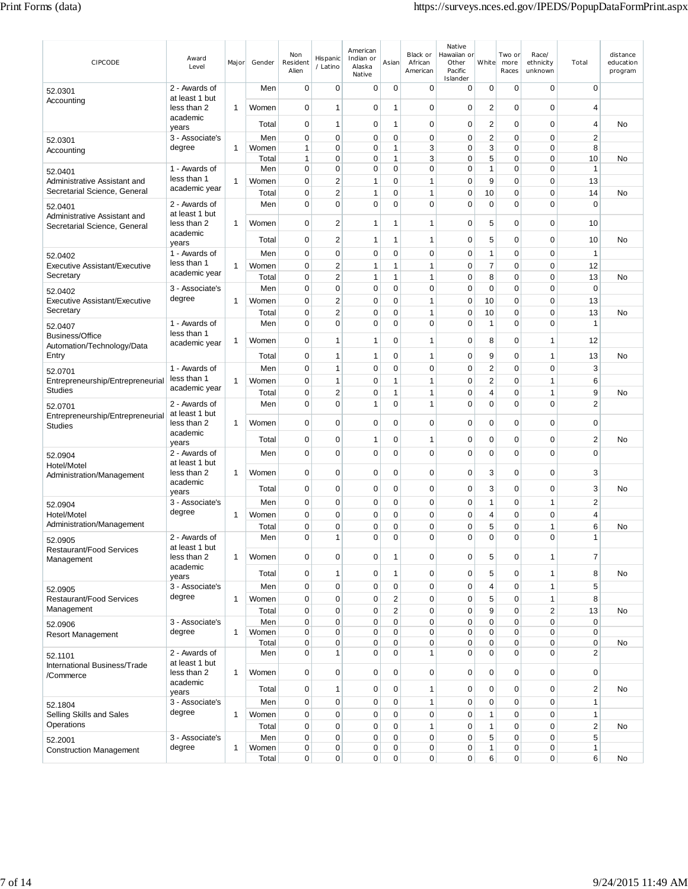| CIPCODE                                                      | Award<br>Level                  | Major        | Gender         | Non<br>Resident<br>Alien     | Hispanic<br>/ Latino       | American<br>Indian or<br>Alaska<br>Native | Asian            | Black or<br>African<br>American | Native<br>Hawaiian or<br>Other<br>Pacific<br>Islander | White             | Two or<br>more<br>Races    | Race/<br>ethnicity<br>unknown | Total                            | distance<br>education<br>program |
|--------------------------------------------------------------|---------------------------------|--------------|----------------|------------------------------|----------------------------|-------------------------------------------|------------------|---------------------------------|-------------------------------------------------------|-------------------|----------------------------|-------------------------------|----------------------------------|----------------------------------|
| 52.0301                                                      | 2 - Awards of<br>at least 1 but |              | Men            | $\mathbf 0$                  | 0                          | $\mathbf 0$                               | $\mathbf 0$      | $\mathbf 0$                     | 0                                                     | $\Omega$          | $\mathbf 0$                | $\mathbf 0$                   | $\mathbf 0$                      |                                  |
| Accounting                                                   | less than 2                     | $\mathbf{1}$ | Women          | 0                            | $\mathbf{1}$               | 0                                         | 1                | $\mathbf 0$                     | 0                                                     | 2                 | $\mathbf 0$                | 0                             | $\overline{4}$                   |                                  |
|                                                              | academic<br>years               |              | Total          | 0                            | 1                          | 0                                         | 1                | $\mathbf 0$                     | $\mathbf 0$                                           | 2                 | $\mathbf 0$                | 0                             | $\overline{4}$                   | No                               |
| 52.0301                                                      | 3 - Associate's                 |              | Men            | 0                            | $\mathbf 0$                | 0                                         | 0                | 0                               | 0                                                     | 2                 | $\mathbf 0$                | $\mathbf 0$                   | $\overline{2}$                   |                                  |
| Accounting                                                   | degree                          | $\mathbf{1}$ | Women<br>Total | $\mathbf{1}$<br>$\mathbf{1}$ | $\mathbf 0$<br>$\mathbf 0$ | 0<br>$\mathbf 0$                          | 1<br>1           | 3<br>3                          | 0<br>0                                                | 3<br>5            | 0<br>$\mathbf 0$           | 0<br>0                        | 8<br>10                          | No                               |
| 52.0401                                                      | 1 - Awards of                   |              | Men            | 0                            | $\mathbf 0$                | 0                                         | $\mathbf 0$      | $\mathbf 0$                     | $\mathbf 0$                                           | 1                 | 0                          | 0                             | $\mathbf{1}$                     |                                  |
| Administrative Assistant and<br>Secretarial Science, General | less than 1<br>academic year    | 1            | Women          | 0                            | $\sqrt{2}$                 | 1                                         | 0                | $\mathbf{1}$                    | $\mathbf 0$                                           | 9                 | $\mathbf 0$                | $\mathbf 0$                   | 13                               |                                  |
| 52.0401                                                      | 2 - Awards of                   |              | Total<br>Men   | 0<br>0                       | $\sqrt{2}$<br>$\mathbf 0$  | 1<br>$\mathbf 0$                          | 0<br>0           | $\mathbf{1}$<br>$\mathbf 0$     | 0<br>$\mathbf 0$                                      | 10<br>$\mathbf 0$ | 0<br>$\mathbf 0$           | 0<br>$\mathbf 0$              | 14<br>$\mathbf 0$                | No                               |
| Administrative Assistant and                                 | at least 1 but                  |              |                |                              |                            |                                           |                  |                                 |                                                       |                   |                            |                               |                                  |                                  |
| Secretarial Science, General                                 | less than 2<br>academic         | $\mathbf{1}$ | Women          | 0                            | $\overline{2}$             | 1                                         | 1                | 1                               | 0                                                     | 5                 | $\mathbf 0$                | 0                             | 10                               |                                  |
|                                                              | years                           |              | Total          | 0                            | $\overline{\mathbf{c}}$    | 1                                         | 1                | 1                               | 0                                                     | 5                 | 0                          | 0                             | 10                               | No                               |
| 52.0402<br>Executive Assistant/Executive                     | 1 - Awards of<br>less than 1    | $\mathbf{1}$ | Men<br>Women   | $\mathbf 0$<br>$\mathbf 0$   | 0<br>$\overline{2}$        | 0<br>1                                    | 0<br>1           | $\mathbf 0$<br>1                | $\mathbf 0$<br>0                                      | 1<br>7            | 0<br>0                     | 0<br>0                        | $\mathbf{1}$<br>12               |                                  |
| Secretary                                                    | academic year                   |              | Total          | 0                            | $\overline{\mathbf{c}}$    | 1                                         | 1                | $\mathbf{1}$                    | $\mathbf 0$                                           | 8                 | $\mathbf 0$                | 0                             | 13                               | No                               |
| 52.0402                                                      | 3 - Associate's                 |              | Men            | $\mathbf 0$                  | $\mathbf 0$                | $\mathbf 0$                               | 0                | $\mathbf 0$                     | 0                                                     | $\mathbf 0$       | $\mathbf 0$                | $\mathbf 0$                   | $\mathbf 0$                      |                                  |
| <b>Executive Assistant/Executive</b>                         | degree                          | $\mathbf{1}$ | Women          | 0                            | $\overline{2}$             | 0                                         | 0                | 1                               | 0                                                     | 10                | $\mathbf 0$                | $\mathbf 0$                   | 13                               |                                  |
| Secretary                                                    | 1 - Awards of                   |              | Total<br>Men   | $\mathbf 0$<br>0             | $\sqrt{2}$<br>$\mathbf 0$  | 0<br>0                                    | 0<br>0           | 1<br>$\mathbf 0$                | 0<br>$\pmb{0}$                                        | 10<br>1           | $\mathbf 0$<br>$\mathbf 0$ | $\mathbf 0$<br>0              | 13<br>$\mathbf{1}$               | No                               |
| 52.0407<br><b>Business/Office</b>                            | less than 1                     |              |                |                              |                            |                                           |                  |                                 |                                                       |                   |                            |                               |                                  |                                  |
| Automation/Technology/Data                                   | academic year                   | 1            | Women          | $\mathbf 0$                  | $\mathbf{1}$               | 1                                         | 0                | 1                               | 0                                                     | 8                 | 0                          | 1                             | 12                               |                                  |
| Entry                                                        |                                 |              | Total          | $\mathbf 0$                  | 1                          | 1                                         | 0                | 1                               | 0                                                     | 9                 | 0                          | 1                             | 13                               | No                               |
| 52.0701<br>Entrepreneurship/Entrepreneurial                  | 1 - Awards of<br>less than 1    | $\mathbf{1}$ | Men<br>Women   | 0<br>0                       | 1<br>$\mathbf{1}$          | 0<br>$\mathbf 0$                          | 0<br>1           | $\mathbf 0$<br>$\mathbf{1}$     | 0<br>0                                                | 2<br>2            | $\mathbf 0$<br>$\mathbf 0$ | $\mathbf 0$<br>1              | 3<br>6                           |                                  |
| <b>Studies</b>                                               | academic year                   |              | Total          | $\mathbf 0$                  | $\overline{2}$             | $\mathbf 0$                               | $\mathbf{1}$     | 1                               | $\mathbf 0$                                           | 4                 | $\mathbf 0$                | $\mathbf{1}$                  | 9                                | No                               |
| 52.0701                                                      | 2 - Awards of                   |              | Men            | 0                            | $\mathbf 0$                | 1                                         | 0                | 1                               | $\mathbf 0$                                           | 0                 | $\mathbf 0$                | 0                             | $\overline{2}$                   |                                  |
| Entrepreneurship/Entrepreneurial                             | at least 1 but<br>less than 2   | 1            | Women          | $\mathbf 0$                  | $\mathbf 0$                | $\mathbf 0$                               | 0                | $\mathbf 0$                     | 0                                                     | $\mathbf 0$       | $\mathbf 0$                | 0                             | $\mathbf 0$                      |                                  |
| <b>Studies</b>                                               | academic                        |              | Total          | 0                            | 0                          | 1                                         | 0                | 1                               | 0                                                     | 0                 | 0                          | 0                             | $\overline{2}$                   | No                               |
| 52.0904                                                      | years<br>2 - Awards of          |              | Men            | 0                            | 0                          | 0                                         | 0                | $\mathbf 0$                     | 0                                                     | $\mathbf 0$       | $\mathbf 0$                | 0                             | $\mathbf 0$                      |                                  |
| Hotel/Motel                                                  | at least 1 but                  |              |                |                              |                            |                                           |                  |                                 |                                                       |                   |                            |                               |                                  |                                  |
| Administration/Management                                    | less than 2<br>academic         | 1            | Women          | 0                            | 0                          | 0                                         | 0                | $\mathbf 0$                     | $\mathbf 0$                                           | 3                 | $\mathbf 0$                | $\overline{0}$                | 3                                |                                  |
|                                                              | years                           |              | Total          | $\mathbf 0$                  | 0                          | $\mathbf 0$                               | 0                | $\mathbf 0$                     | 0                                                     | 3                 | 0                          | 0                             | 3                                | No                               |
| 52.0904<br>Hotel/Motel                                       | 3 - Associate's<br>degree       | 1            | Men<br>Women   | $\mathbf 0$<br>$\mathbf 0$   | $\mathbf 0$<br>0           | 0<br>0                                    | 0<br>0           | $\mathbf 0$<br>0                | 0<br>0                                                | 1<br>4            | 0<br>0                     | $\mathbf{1}$<br>0             | $\overline{2}$<br>$\overline{4}$ |                                  |
| Administration/Management                                    |                                 |              | Total          | 0                            | 0                          | 0                                         | 0                | $\mathbf 0$                     | 0                                                     | 5                 | 0                          | 1                             | 6                                | No                               |
| 52.0905                                                      | 2 - Awards of                   |              | Men            | 0                            | $\mathbf{1}$               | $\mathbf 0$                               | 0                | 0                               | 0                                                     | 0                 | $\mathbf 0$                | 0                             | $\mathbf{1}$                     |                                  |
| <b>Restaurant/Food Services</b>                              | at least 1 but<br>less than 2   | $\mathbf{1}$ | Women          | 0                            | $\mathbf 0$                | 0                                         | 1                | 0                               | 0                                                     | 5                 | 0                          | 1                             | $\overline{7}$                   |                                  |
| Management                                                   | academic                        |              | Total          | $\mathbf 0$                  | $\mathbf{1}$               | 0                                         | $\mathbf{1}$     | $\pmb{0}$                       | 0                                                     | 5                 | $\pmb{0}$                  | $\mathbf{1}$                  | 8                                | No                               |
|                                                              | years<br>3 - Associate's        |              | Men            | 0                            | $\pmb{0}$                  | 0                                         | $\pmb{0}$        | $\pmb{0}$                       | 0                                                     | 4                 | $\pmb{0}$                  | $\mathbf{1}$                  | 5                                |                                  |
| 52.0905<br><b>Restaurant/Food Services</b>                   | degree                          | $\mathbf{1}$ | Women          | 0                            | $\mathbf 0$                | 0                                         | $\overline{2}$   | $\mathbf 0$                     | 0                                                     | 5                 | $\pmb{0}$                  | 1                             | 8                                |                                  |
| Management                                                   |                                 |              | Total          | $\mathbf 0$                  | $\mathbf 0$                | 0                                         | $\overline{2}$   | $\mathbf 0$                     | 0                                                     | 9                 | $\pmb{0}$                  | $\overline{2}$                | 13                               | No                               |
| 52.0906                                                      | 3 - Associate's                 |              | Men            | $\mathbf 0$                  | $\mathbf 0$<br>$\pmb{0}$   | 0                                         | 0                | $\mathbf 0$<br>$\mathbf 0$      | 0<br>0                                                | 0                 | $\mathbf 0$<br>$\pmb{0}$   | 0<br>$\mathbf 0$              | $\mathbf 0$<br>$\mathbf 0$       |                                  |
| <b>Resort Management</b>                                     | degree                          | $\mathbf{1}$ | Women<br>Total | $\mathbf 0$<br>$\mathbf 0$   | $\mathbf 0$                | 0<br>0                                    | 0<br>$\mathbf 0$ | $\mathbf 0$                     | $\mathbf 0$                                           | 0<br>0            | $\pmb{0}$                  | 0                             | $\mathbf 0$                      | No                               |
| 52.1101                                                      | 2 - Awards of                   |              | Men            | $\mathbf 0$                  | $\mathbf{1}$               | 0                                         | 0                | 1                               | 0                                                     | 0                 | $\mathbf 0$                | $\mathbf 0$                   | $\overline{2}$                   |                                  |
| International Business/Trade<br>/Commerce                    | at least 1 but<br>less than 2   | 1            | Women          | $\mathbf 0$                  | $\pmb{0}$                  | $\mathbf 0$                               | 0                | $\pmb{0}$                       | 0                                                     | $\pmb{0}$         | $\pmb{0}$                  | 0                             | $\mathbf 0$                      |                                  |
|                                                              | academic                        |              | Total          | 0                            | $\mathbf{1}$               | 0                                         | 0                | 1                               | 0                                                     | $\mathbf 0$       | 0                          | 0                             | $\sqrt{2}$                       | <b>No</b>                        |
|                                                              | years<br>3 - Associate's        |              | Men            | $\mathbf 0$                  | $\mathbf 0$                | 0                                         | 0                | $\mathbf{1}$                    | $\mathbf 0$                                           | $\mathbf 0$       | $\mathbf 0$                | 0                             | $\mathbf{1}$                     |                                  |
| 52.1804<br>Selling Skills and Sales                          | degree                          | $\mathbf{1}$ | Women          | 0                            | $\pmb{0}$                  | 0                                         | $\pmb{0}$        | $\pmb{0}$                       | 0                                                     | 1                 | $\pmb{0}$                  | $\mathbf 0$                   | $\mathbf{1}$                     |                                  |
| Operations                                                   |                                 |              | Total          | 0                            | $\pmb{0}$                  | $\mathbf 0$                               | 0                | $\mathbf{1}$                    | 0                                                     | 1                 | $\pmb{0}$                  | $\mathbf 0$                   | $\sqrt{2}$                       | <b>No</b>                        |
| 52.2001                                                      | 3 - Associate's<br>degree       | 1            | Men<br>Women   | 0<br>0                       | $\pmb{0}$<br>0             | 0<br>0                                    | 0<br>$\pmb{0}$   | 0<br>0                          | 0<br>$\pmb{0}$                                        | 5<br>$\mathbf{1}$ | $\pmb{0}$<br>0             | 0<br>0                        | 5<br>$\mathbf{1}$                |                                  |
| <b>Construction Management</b>                               |                                 |              | Total          | $\overline{0}$               | 0                          | 0                                         | $\mathbf 0$      | 0                               | 0                                                     | 6                 | 0                          | 0                             | 6                                | No                               |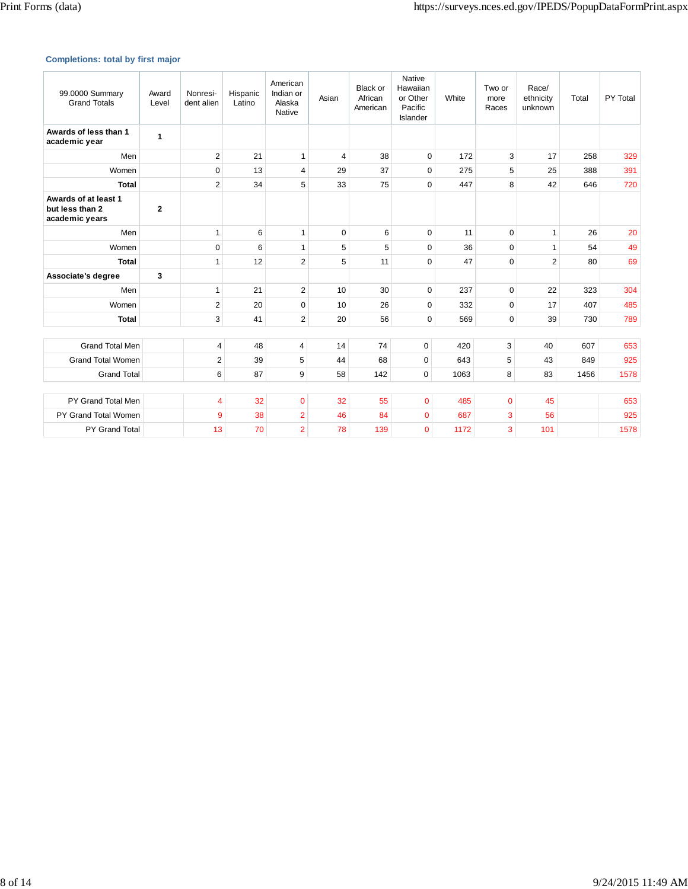## **Completions: total by first major**

| 99.0000 Summary<br><b>Grand Totals</b>                    | Award<br>Level | Nonresi-<br>dent alien  | Hispanic<br>Latino | American<br>Indian or<br>Alaska<br>Native | Asian          | <b>Black or</b><br>African<br>American | Native<br>Hawaiian<br>or Other<br>Pacific<br>Islander | White | Two or<br>more<br>Races | Race/<br>ethnicity<br>unknown | Total | PY Total |
|-----------------------------------------------------------|----------------|-------------------------|--------------------|-------------------------------------------|----------------|----------------------------------------|-------------------------------------------------------|-------|-------------------------|-------------------------------|-------|----------|
| Awards of less than 1<br>academic year                    | 1              |                         |                    |                                           |                |                                        |                                                       |       |                         |                               |       |          |
| Men                                                       |                | $\overline{2}$          | 21                 | $\mathbf{1}$                              | $\overline{4}$ | 38                                     | 0                                                     | 172   | 3                       | 17                            | 258   | 329      |
| Women                                                     |                | $\mathbf 0$             | 13                 | 4                                         | 29             | 37                                     | 0                                                     | 275   | 5                       | 25                            | 388   | 391      |
| <b>Total</b>                                              |                | $\overline{2}$          | 34                 | 5                                         | 33             | 75                                     | $\mathbf 0$                                           | 447   | 8                       | 42                            | 646   | 720      |
| Awards of at least 1<br>but less than 2<br>academic years | $\mathbf{2}$   |                         |                    |                                           |                |                                        |                                                       |       |                         |                               |       |          |
| Men                                                       |                | 1                       | 6                  | $\mathbf{1}$                              | $\Omega$       | 6                                      | $\mathbf 0$                                           | 11    | $\Omega$                | 1                             | 26    | 20       |
| Women                                                     |                | $\Omega$                | 6                  | $\mathbf{1}$                              | 5              | 5                                      | $\mathbf 0$                                           | 36    | $\Omega$                | 1                             | 54    | 49       |
| <b>Total</b>                                              |                | 1                       | 12                 | $\overline{2}$                            | 5              | 11                                     | $\Omega$                                              | 47    | $\Omega$                | $\overline{2}$                | 80    | 69       |
| Associate's degree                                        | 3              |                         |                    |                                           |                |                                        |                                                       |       |                         |                               |       |          |
| Men                                                       |                | 1                       | 21                 | $\overline{2}$                            | 10             | 30                                     | $\mathbf 0$                                           | 237   | $\Omega$                | 22                            | 323   | 304      |
| Women                                                     |                | $\overline{2}$          | 20                 | $\mathbf 0$                               | 10             | 26                                     | 0                                                     | 332   | $\Omega$                | 17                            | 407   | 485      |
| <b>Total</b>                                              |                | 3                       | 41                 | $\overline{\mathbf{c}}$                   | 20             | 56                                     | $\mathbf 0$                                           | 569   | $\mathbf 0$             | 39                            | 730   | 789      |
|                                                           |                |                         |                    |                                           |                |                                        |                                                       |       |                         |                               |       |          |
| <b>Grand Total Men</b>                                    |                | 4                       | 48                 | 4                                         | 14             | 74                                     | 0                                                     | 420   | 3                       | 40                            | 607   | 653      |
| <b>Grand Total Women</b>                                  |                | $\overline{\mathbf{c}}$ | 39                 | 5                                         | 44             | 68                                     | 0                                                     | 643   | 5                       | 43                            | 849   | 925      |
| <b>Grand Total</b>                                        |                | 6                       | 87                 | 9                                         | 58             | 142                                    | $\mathbf 0$                                           | 1063  | 8                       | 83                            | 1456  | 1578     |
|                                                           |                |                         |                    |                                           |                |                                        |                                                       |       |                         |                               |       |          |
| PY Grand Total Men                                        |                | 4                       | 32                 | $\mathbf 0$                               | 32             | 55                                     | 0                                                     | 485   | $\overline{0}$          | 45                            |       | 653      |
| PY Grand Total Women                                      |                | 9                       | 38                 | $\overline{2}$                            | 46             | 84                                     | 0                                                     | 687   | 3                       | 56                            |       | 925      |
| PY Grand Total                                            |                | 13                      | 70                 | $\overline{2}$                            | 78             | 139                                    | $\overline{0}$                                        | 1172  | 3                       | 101                           |       | 1578     |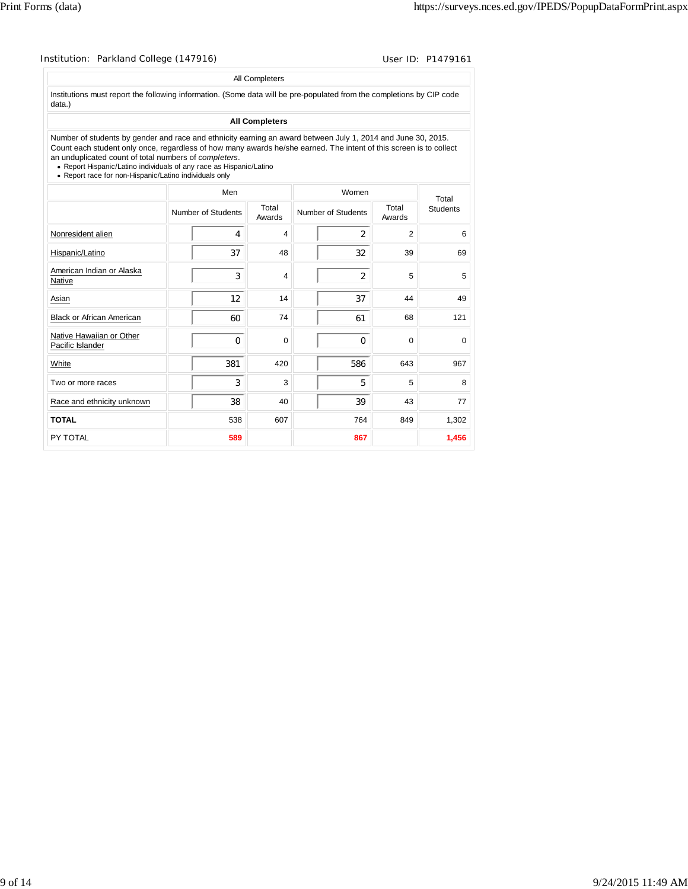| Institution: Parkland College (147916)                                                                                                                                                                                                                                                                                                                                                                                       |                    |                       |                    |                 | User ID: P1479161 |
|------------------------------------------------------------------------------------------------------------------------------------------------------------------------------------------------------------------------------------------------------------------------------------------------------------------------------------------------------------------------------------------------------------------------------|--------------------|-----------------------|--------------------|-----------------|-------------------|
|                                                                                                                                                                                                                                                                                                                                                                                                                              |                    | All Completers        |                    |                 |                   |
| Institutions must report the following information. (Some data will be pre-populated from the completions by CIP code<br>data.)                                                                                                                                                                                                                                                                                              |                    |                       |                    |                 |                   |
|                                                                                                                                                                                                                                                                                                                                                                                                                              |                    | <b>All Completers</b> |                    |                 |                   |
| Number of students by gender and race and ethnicity earning an award between July 1, 2014 and June 30, 2015.<br>Count each student only once, regardless of how many awards he/she earned. The intent of this screen is to collect<br>an unduplicated count of total numbers of completers.<br>• Report Hispanic/Latino individuals of any race as Hispanic/Latino<br>• Report race for non-Hispanic/Latino individuals only |                    |                       |                    |                 |                   |
|                                                                                                                                                                                                                                                                                                                                                                                                                              | Men                |                       | Women              |                 | Total             |
|                                                                                                                                                                                                                                                                                                                                                                                                                              | Number of Students | Total<br>Awards       | Number of Students | Total<br>Awards | <b>Students</b>   |
| Nonresident alien                                                                                                                                                                                                                                                                                                                                                                                                            | 4                  | 4                     | $\mathcal{P}$      | 2               |                   |
| Hispanic/Latino                                                                                                                                                                                                                                                                                                                                                                                                              | 37                 | 48                    | 32                 | 39              | 69                |
| American Indian or Alaska<br>Native                                                                                                                                                                                                                                                                                                                                                                                          | 3                  | 4                     | 2                  | 5               |                   |
| Asian                                                                                                                                                                                                                                                                                                                                                                                                                        | 12                 | 14                    | 37                 | 44              | 49                |
| <b>Black or African American</b>                                                                                                                                                                                                                                                                                                                                                                                             | 60                 | 74                    | 61                 | 68              | 121               |
| Native Hawaiian or Other<br>Pacific Islander                                                                                                                                                                                                                                                                                                                                                                                 | $\Omega$           | $\Omega$              | 0                  | $\Omega$        |                   |
| White                                                                                                                                                                                                                                                                                                                                                                                                                        | 381                | 420                   | 586                | 643             | 967               |
| Two or more races                                                                                                                                                                                                                                                                                                                                                                                                            | 3                  | 3                     | 5                  | 5               |                   |
| Race and ethnicity unknown                                                                                                                                                                                                                                                                                                                                                                                                   | 38                 | 40                    | 39                 | 43              | 77                |
| <b>TOTAL</b>                                                                                                                                                                                                                                                                                                                                                                                                                 | 538                | 607                   | 764                | 849             | 1.302             |
| PY TOTAL                                                                                                                                                                                                                                                                                                                                                                                                                     | 589                |                       | 867                |                 | 1,456             |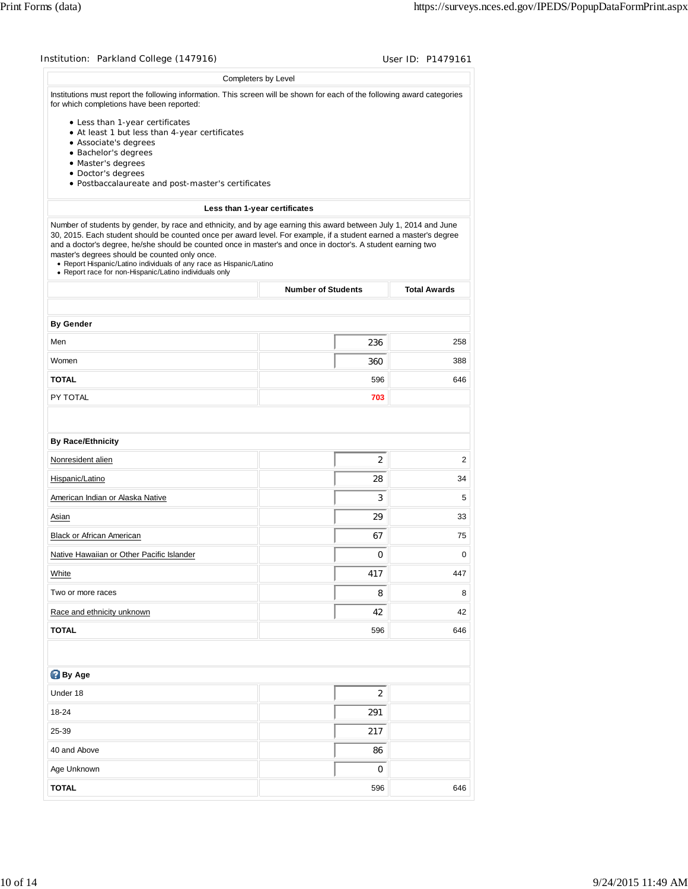| Institution: Parkland College (147916)                                                                                                                                                                                                                                                                                                                                                                              |                               |                     |
|---------------------------------------------------------------------------------------------------------------------------------------------------------------------------------------------------------------------------------------------------------------------------------------------------------------------------------------------------------------------------------------------------------------------|-------------------------------|---------------------|
|                                                                                                                                                                                                                                                                                                                                                                                                                     | Completers by Level           |                     |
| Institutions must report the following information. This screen will be shown for each of the following award categories<br>for which completions have been reported:                                                                                                                                                                                                                                               |                               |                     |
| • Less than 1-year certificates                                                                                                                                                                                                                                                                                                                                                                                     |                               |                     |
| • At least 1 but less than 4-year certificates<br>• Associate's degrees                                                                                                                                                                                                                                                                                                                                             |                               |                     |
| · Bachelor's degrees                                                                                                                                                                                                                                                                                                                                                                                                |                               |                     |
| · Master's degrees                                                                                                                                                                                                                                                                                                                                                                                                  |                               |                     |
| · Doctor's degrees<br>· Postbaccalaureate and post-master's certificates                                                                                                                                                                                                                                                                                                                                            |                               |                     |
|                                                                                                                                                                                                                                                                                                                                                                                                                     |                               |                     |
| Number of students by gender, by race and ethnicity, and by age earning this award between July 1, 2014 and June                                                                                                                                                                                                                                                                                                    | Less than 1-year certificates |                     |
| 30, 2015. Each student should be counted once per award level. For example, if a student earned a master's degree<br>and a doctor's degree, he/she should be counted once in master's and once in doctor's. A student earning two<br>master's degrees should be counted only once.<br>• Report Hispanic/Latino individuals of any race as Hispanic/Latino<br>• Report race for non-Hispanic/Latino individuals only |                               |                     |
|                                                                                                                                                                                                                                                                                                                                                                                                                     | <b>Number of Students</b>     | <b>Total Awards</b> |
|                                                                                                                                                                                                                                                                                                                                                                                                                     |                               |                     |
| <b>By Gender</b>                                                                                                                                                                                                                                                                                                                                                                                                    |                               | 258                 |
| Men                                                                                                                                                                                                                                                                                                                                                                                                                 | 236                           |                     |
| Women                                                                                                                                                                                                                                                                                                                                                                                                               | 360                           | 388                 |
| <b>TOTAL</b>                                                                                                                                                                                                                                                                                                                                                                                                        | 596                           | 646                 |
| PY TOTAL                                                                                                                                                                                                                                                                                                                                                                                                            | 703                           |                     |
|                                                                                                                                                                                                                                                                                                                                                                                                                     |                               |                     |
| <b>By Race/Ethnicity</b>                                                                                                                                                                                                                                                                                                                                                                                            |                               |                     |
| Nonresident alien                                                                                                                                                                                                                                                                                                                                                                                                   | 2                             | $\overline{2}$      |
| Hispanic/Latino                                                                                                                                                                                                                                                                                                                                                                                                     | 28                            | 34                  |
| American Indian or Alaska Native                                                                                                                                                                                                                                                                                                                                                                                    | 3                             | 5                   |
| Asian                                                                                                                                                                                                                                                                                                                                                                                                               | 29                            | 33                  |
| Black or African American                                                                                                                                                                                                                                                                                                                                                                                           | 67                            | 75                  |
| Native Hawaiian or Other Pacific Islander                                                                                                                                                                                                                                                                                                                                                                           | 0                             | 0                   |
| White                                                                                                                                                                                                                                                                                                                                                                                                               | 417                           | 447                 |
| Two or more races                                                                                                                                                                                                                                                                                                                                                                                                   | 8                             | 8                   |
| Race and ethnicity unknown                                                                                                                                                                                                                                                                                                                                                                                          | 42                            | 42                  |
| <b>TOTAL</b>                                                                                                                                                                                                                                                                                                                                                                                                        | 596                           | 646                 |
|                                                                                                                                                                                                                                                                                                                                                                                                                     |                               |                     |
|                                                                                                                                                                                                                                                                                                                                                                                                                     |                               |                     |
| <b>By Age</b>                                                                                                                                                                                                                                                                                                                                                                                                       |                               |                     |
| Under 18                                                                                                                                                                                                                                                                                                                                                                                                            | 2                             |                     |
| 18-24                                                                                                                                                                                                                                                                                                                                                                                                               | 291                           |                     |
| 25-39                                                                                                                                                                                                                                                                                                                                                                                                               | 217                           |                     |
| 40 and Above                                                                                                                                                                                                                                                                                                                                                                                                        | 86                            |                     |
|                                                                                                                                                                                                                                                                                                                                                                                                                     |                               |                     |
| Age Unknown                                                                                                                                                                                                                                                                                                                                                                                                         | 0                             |                     |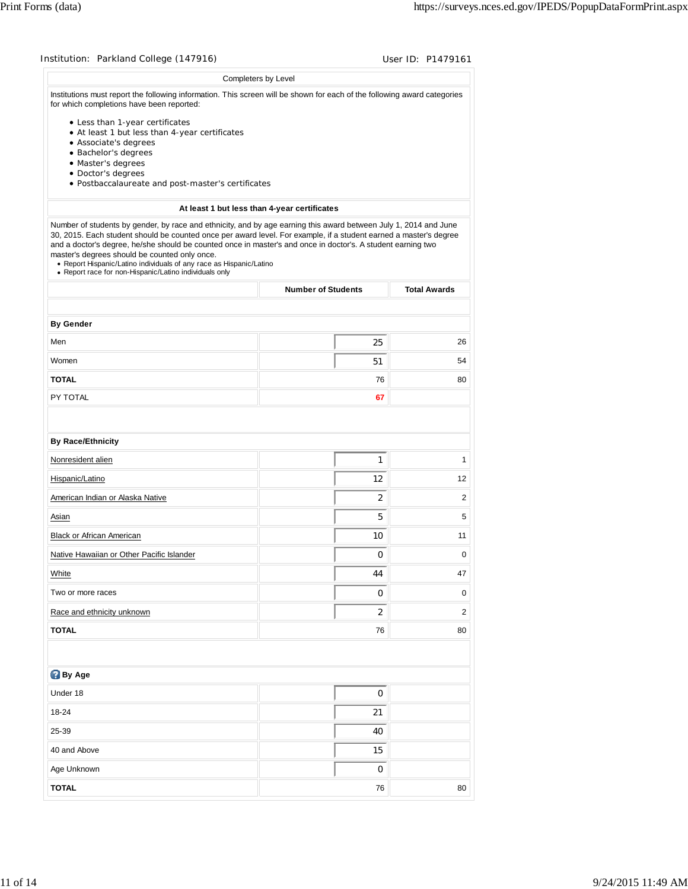| Institution: Parkland College (147916)                                                                                                                                                                                                                                                                                                                                                                                                                                                                                                  |                                              | User ID: P1479161   |
|-----------------------------------------------------------------------------------------------------------------------------------------------------------------------------------------------------------------------------------------------------------------------------------------------------------------------------------------------------------------------------------------------------------------------------------------------------------------------------------------------------------------------------------------|----------------------------------------------|---------------------|
|                                                                                                                                                                                                                                                                                                                                                                                                                                                                                                                                         | Completers by Level                          |                     |
| Institutions must report the following information. This screen will be shown for each of the following award categories<br>for which completions have been reported:                                                                                                                                                                                                                                                                                                                                                                   |                                              |                     |
| • Less than 1-year certificates<br>• At least 1 but less than 4-year certificates<br>• Associate's degrees                                                                                                                                                                                                                                                                                                                                                                                                                              |                                              |                     |
| · Bachelor's degrees<br>· Master's degrees                                                                                                                                                                                                                                                                                                                                                                                                                                                                                              |                                              |                     |
| · Doctor's degrees                                                                                                                                                                                                                                                                                                                                                                                                                                                                                                                      |                                              |                     |
| · Postbaccalaureate and post-master's certificates                                                                                                                                                                                                                                                                                                                                                                                                                                                                                      |                                              |                     |
|                                                                                                                                                                                                                                                                                                                                                                                                                                                                                                                                         | At least 1 but less than 4-year certificates |                     |
| Number of students by gender, by race and ethnicity, and by age earning this award between July 1, 2014 and June<br>30, 2015. Each student should be counted once per award level. For example, if a student earned a master's degree<br>and a doctor's degree, he/she should be counted once in master's and once in doctor's. A student earning two<br>master's degrees should be counted only once.<br>• Report Hispanic/Latino individuals of any race as Hispanic/Latino<br>• Report race for non-Hispanic/Latino individuals only |                                              |                     |
|                                                                                                                                                                                                                                                                                                                                                                                                                                                                                                                                         | <b>Number of Students</b>                    | <b>Total Awards</b> |
|                                                                                                                                                                                                                                                                                                                                                                                                                                                                                                                                         |                                              |                     |
| <b>By Gender</b>                                                                                                                                                                                                                                                                                                                                                                                                                                                                                                                        |                                              |                     |
| Men                                                                                                                                                                                                                                                                                                                                                                                                                                                                                                                                     | 25                                           | 26                  |
| Women                                                                                                                                                                                                                                                                                                                                                                                                                                                                                                                                   | 51                                           | 54                  |
| <b>TOTAL</b>                                                                                                                                                                                                                                                                                                                                                                                                                                                                                                                            | 76                                           | 80                  |
| PY TOTAL                                                                                                                                                                                                                                                                                                                                                                                                                                                                                                                                | 67                                           |                     |
|                                                                                                                                                                                                                                                                                                                                                                                                                                                                                                                                         |                                              |                     |
|                                                                                                                                                                                                                                                                                                                                                                                                                                                                                                                                         |                                              |                     |
| <b>By Race/Ethnicity</b>                                                                                                                                                                                                                                                                                                                                                                                                                                                                                                                |                                              |                     |
| Nonresident alien                                                                                                                                                                                                                                                                                                                                                                                                                                                                                                                       | $\mathbf{1}$                                 | 1<br>12             |
| Hispanic/Latino<br>American Indian or Alaska Native                                                                                                                                                                                                                                                                                                                                                                                                                                                                                     | 12<br>2                                      | 2                   |
| Asian                                                                                                                                                                                                                                                                                                                                                                                                                                                                                                                                   | 5                                            | 5                   |
| Black or African American                                                                                                                                                                                                                                                                                                                                                                                                                                                                                                               | 10                                           | 11                  |
| Native Hawaiian or Other Pacific Islander                                                                                                                                                                                                                                                                                                                                                                                                                                                                                               | 0                                            | 0                   |
| White                                                                                                                                                                                                                                                                                                                                                                                                                                                                                                                                   | 44                                           | 47                  |
| Two or more races                                                                                                                                                                                                                                                                                                                                                                                                                                                                                                                       | 0                                            | 0                   |
| Race and ethnicity unknown                                                                                                                                                                                                                                                                                                                                                                                                                                                                                                              | 2                                            | 2                   |
| <b>TOTAL</b>                                                                                                                                                                                                                                                                                                                                                                                                                                                                                                                            | 76                                           | 80                  |
|                                                                                                                                                                                                                                                                                                                                                                                                                                                                                                                                         |                                              |                     |
| <b>By Age</b>                                                                                                                                                                                                                                                                                                                                                                                                                                                                                                                           |                                              |                     |
|                                                                                                                                                                                                                                                                                                                                                                                                                                                                                                                                         |                                              |                     |
| Under 18                                                                                                                                                                                                                                                                                                                                                                                                                                                                                                                                | 0                                            |                     |
| 18-24                                                                                                                                                                                                                                                                                                                                                                                                                                                                                                                                   | 21                                           |                     |
| 25-39                                                                                                                                                                                                                                                                                                                                                                                                                                                                                                                                   | 40                                           |                     |
| 40 and Above                                                                                                                                                                                                                                                                                                                                                                                                                                                                                                                            | 15                                           |                     |
| Age Unknown                                                                                                                                                                                                                                                                                                                                                                                                                                                                                                                             | 0                                            |                     |
| TOTAL                                                                                                                                                                                                                                                                                                                                                                                                                                                                                                                                   | 76                                           | 80                  |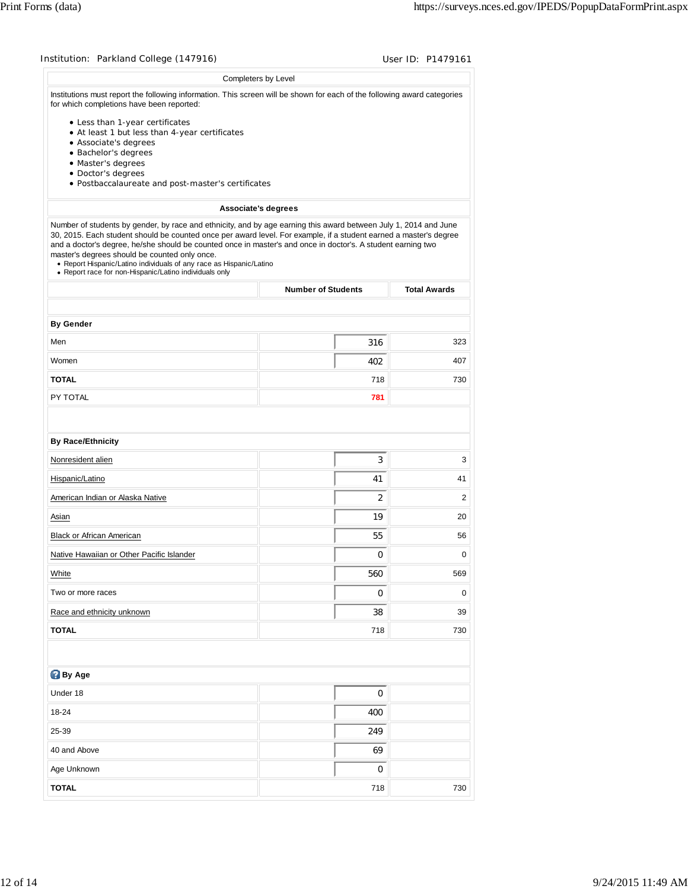|                                                                                                                                                                                                                                                                                                                                                                                                                                                                                                                                         | Completers by Level       |                     |
|-----------------------------------------------------------------------------------------------------------------------------------------------------------------------------------------------------------------------------------------------------------------------------------------------------------------------------------------------------------------------------------------------------------------------------------------------------------------------------------------------------------------------------------------|---------------------------|---------------------|
| Institutions must report the following information. This screen will be shown for each of the following award categories<br>for which completions have been reported:                                                                                                                                                                                                                                                                                                                                                                   |                           |                     |
| • Less than 1-year certificates                                                                                                                                                                                                                                                                                                                                                                                                                                                                                                         |                           |                     |
| • At least 1 but less than 4-year certificates<br>• Associate's degrees                                                                                                                                                                                                                                                                                                                                                                                                                                                                 |                           |                     |
| · Bachelor's degrees                                                                                                                                                                                                                                                                                                                                                                                                                                                                                                                    |                           |                     |
| · Master's degrees                                                                                                                                                                                                                                                                                                                                                                                                                                                                                                                      |                           |                     |
| · Doctor's degrees                                                                                                                                                                                                                                                                                                                                                                                                                                                                                                                      |                           |                     |
| · Postbaccalaureate and post-master's certificates                                                                                                                                                                                                                                                                                                                                                                                                                                                                                      |                           |                     |
|                                                                                                                                                                                                                                                                                                                                                                                                                                                                                                                                         | Associate's degrees       |                     |
| Number of students by gender, by race and ethnicity, and by age earning this award between July 1, 2014 and June<br>30, 2015. Each student should be counted once per award level. For example, if a student earned a master's degree<br>and a doctor's degree, he/she should be counted once in master's and once in doctor's. A student earning two<br>master's degrees should be counted only once.<br>• Report Hispanic/Latino individuals of any race as Hispanic/Latino<br>• Report race for non-Hispanic/Latino individuals only |                           |                     |
|                                                                                                                                                                                                                                                                                                                                                                                                                                                                                                                                         | <b>Number of Students</b> | <b>Total Awards</b> |
|                                                                                                                                                                                                                                                                                                                                                                                                                                                                                                                                         |                           |                     |
| <b>By Gender</b>                                                                                                                                                                                                                                                                                                                                                                                                                                                                                                                        |                           |                     |
| Men                                                                                                                                                                                                                                                                                                                                                                                                                                                                                                                                     | 316                       | 323                 |
| Women                                                                                                                                                                                                                                                                                                                                                                                                                                                                                                                                   | 402                       | 407                 |
| <b>TOTAL</b>                                                                                                                                                                                                                                                                                                                                                                                                                                                                                                                            | 718                       | 730                 |
| PY TOTAL                                                                                                                                                                                                                                                                                                                                                                                                                                                                                                                                | 781                       |                     |
| <b>By Race/Ethnicity</b>                                                                                                                                                                                                                                                                                                                                                                                                                                                                                                                |                           |                     |
| Nonresident alien                                                                                                                                                                                                                                                                                                                                                                                                                                                                                                                       | 3                         | 3                   |
| Hispanic/Latino                                                                                                                                                                                                                                                                                                                                                                                                                                                                                                                         | 41                        | 41                  |
| American Indian or Alaska Native                                                                                                                                                                                                                                                                                                                                                                                                                                                                                                        | $\overline{2}$            | 2                   |
| Asian                                                                                                                                                                                                                                                                                                                                                                                                                                                                                                                                   | 19                        | 20                  |
| Black or African American                                                                                                                                                                                                                                                                                                                                                                                                                                                                                                               | 55                        | 56                  |
| Native Hawaiian or Other Pacific Islander                                                                                                                                                                                                                                                                                                                                                                                                                                                                                               | 0                         | 0                   |
| White                                                                                                                                                                                                                                                                                                                                                                                                                                                                                                                                   | 560                       | 569                 |
| Two or more races                                                                                                                                                                                                                                                                                                                                                                                                                                                                                                                       | 0                         | 0                   |
| Race and ethnicity unknown                                                                                                                                                                                                                                                                                                                                                                                                                                                                                                              | 38                        | 39                  |
| <b>TOTAL</b>                                                                                                                                                                                                                                                                                                                                                                                                                                                                                                                            | 718                       | 730                 |
|                                                                                                                                                                                                                                                                                                                                                                                                                                                                                                                                         |                           |                     |
| <b>By Age</b>                                                                                                                                                                                                                                                                                                                                                                                                                                                                                                                           |                           |                     |
| Under 18                                                                                                                                                                                                                                                                                                                                                                                                                                                                                                                                | 0                         |                     |
| 18-24                                                                                                                                                                                                                                                                                                                                                                                                                                                                                                                                   | 400                       |                     |
| 25-39                                                                                                                                                                                                                                                                                                                                                                                                                                                                                                                                   | 249                       |                     |
| 40 and Above                                                                                                                                                                                                                                                                                                                                                                                                                                                                                                                            | 69                        |                     |
| Age Unknown                                                                                                                                                                                                                                                                                                                                                                                                                                                                                                                             | 0                         |                     |
| <b>TOTAL</b>                                                                                                                                                                                                                                                                                                                                                                                                                                                                                                                            | 718                       | 730                 |
|                                                                                                                                                                                                                                                                                                                                                                                                                                                                                                                                         |                           |                     |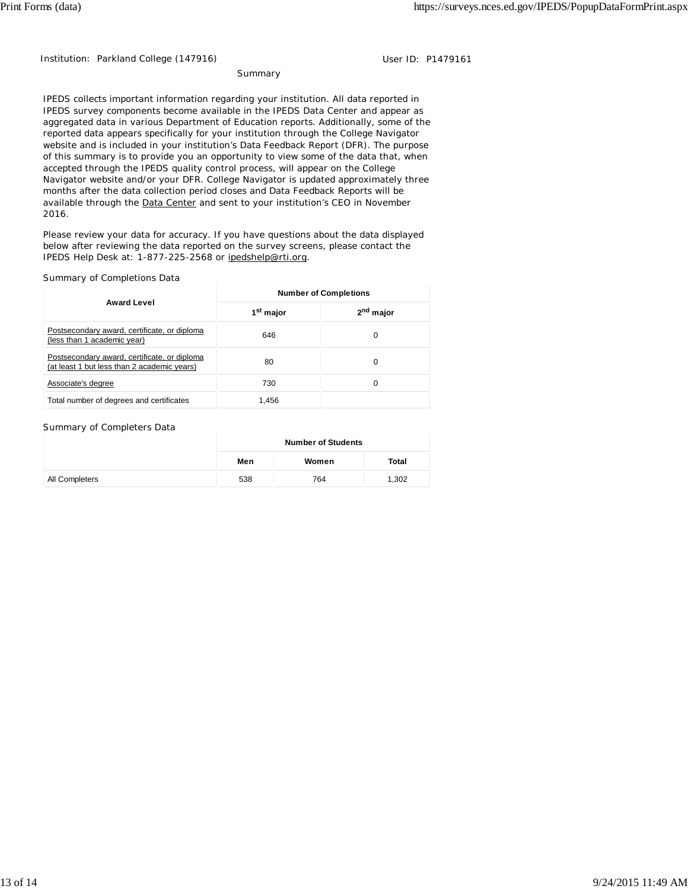Institution: Parkland College (147916) Contract the User ID: P1479161

**Summary** 

IPEDS collects important information regarding your institution. All data reported in IPEDS survey components become available in the IPEDS Data Center and appear as aggregated data in various Department of Education reports. Additionally, some of the reported data appears specifically for your institution through the College Navigator website and is included in your institution's Data Feedback Report (DFR). The purpose of this summary is to provide you an opportunity to view some of the data that, when accepted through the IPEDS quality control process, will appear on the College Navigator website and/or your DFR. College Navigator is updated approximately three months after the data collection period closes and Data Feedback Reports will be available through the Data Center and sent to your institution's CEO in November 2016.

Please review your data for accuracy. If you have questions about the data displayed below after reviewing the data reported on the survey screens, please contact the IPEDS Help Desk at: 1-877-225-2568 or ipedshelp@rti.org.

#### Summary of Completions Data

|                                                                                             | <b>Number of Completions</b> |                       |  |
|---------------------------------------------------------------------------------------------|------------------------------|-----------------------|--|
| <b>Award Level</b>                                                                          | 1 <sup>st</sup> major        | 2 <sup>nd</sup> major |  |
| Postsecondary award, certificate, or diploma<br>(less than 1 academic year)                 | 646                          | 0                     |  |
| Postsecondary award, certificate, or diploma<br>(at least 1 but less than 2 academic years) | 80                           | 0                     |  |
| Associate's degree                                                                          | 730                          | 0                     |  |
| Total number of degrees and certificates                                                    | 1.456                        |                       |  |

#### Summary of Completers Data

|                | <b>Number of Students</b> |       |       |  |
|----------------|---------------------------|-------|-------|--|
|                | Men                       | Women | Total |  |
| All Completers | 538                       | 764   | 1,302 |  |